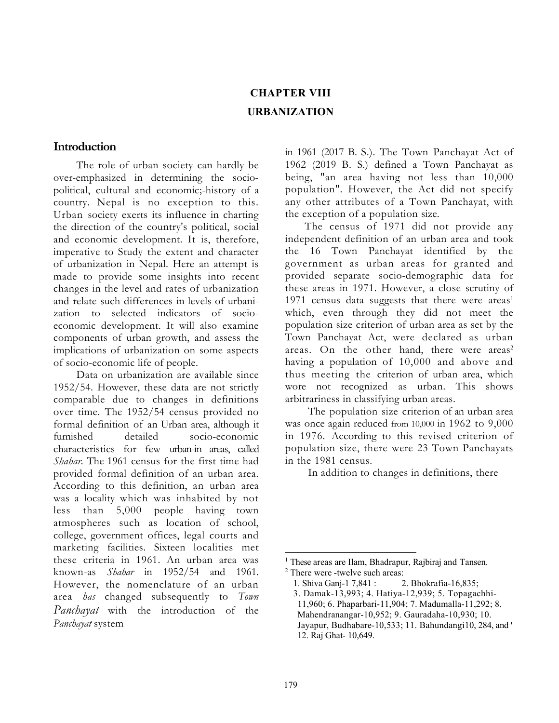# CHAPTER VIII URBANIZATION

### Introduction

The role of urban society can hardly be over-emphasized in determining the sociopolitical, cultural and economic;-history of a country. Nepal is no exception to this. Urban society exerts its influence in charting the direction of the country's political, social and economic development. It is, therefore, imperative to Study the extent and character of urbanization in Nepal. Here an attempt is made to provide some insights into recent changes in the level and rates of urbanization and relate such differences in levels of urbanization to selected indicators of socioeconomic development. It will also examine components of urban growth, and assess the implications of urbanization on some aspects of socio-economic life of people.

Data on urbanization are available since 1952/54. However, these data are not strictly comparable due to changes in definitions over time. The 1952/54 census provided no formal definition of an Urban area, although it furnished detailed socio-economic characteristics for few urban-in areas, called Shahar. The 1961 census for the first time had provided formal definition of an urban area. According to this definition, an urban area was a locality which was inhabited by not less than 5,000 people having town atmospheres such as location of school, college, government offices, legal courts and marketing facilities. Sixteen localities met these criteria in 1961. An urban area was known-as Shahar in 1952/54 and 1961. However, the nomenclature of an urban area has changed subsequently to Town Panchayat with the introduction of the Panchayat system

in 1961 (2017 B. S.). The Town Panchayat Act of 1962 (2019 B. S.) defined a Town Panchayat as being, "an area having not less than 10,000 population". However, the Act did not specify any other attributes of a Town Panchayat, with the exception of a population size.

The census of 1971 did not provide any independent definition of an urban area and took the 16 Town Panchayat identified by the government as urban areas for granted and provided separate socio-demographic data for these areas in 1971. However, a close scrutiny of 1971 census data suggests that there were  $area<sup>1</sup>$ which, even through they did not meet the population size criterion of urban area as set by the Town Panchayat Act, were declared as urban areas. On the other hand, there were  $\arccos^2$ having a population of 10,000 and above and thus meeting the criterion of urban area, which wore not recognized as urban. This shows arbitrariness in classifying urban areas.

The population size criterion of an urban area was once again reduced from 10,000 in 1962 to 9,000 in 1976. According to this revised criterion of population size, there were 23 Town Panchayats in the 1981 census.

In addition to changes in definitions, there

<sup>&</sup>lt;sup>1</sup> These areas are Ilam, Bhadrapur, Rajbiraj and Tansen. <sup>2</sup> There were -twelve such areas:

<sup>1.</sup> Shiva Ganj-1 7,841 : 2. Bhokrafia-16,835;

<sup>3.</sup> Damak-13,993; 4. Hatiya-12,939; 5. Topagachhi-11,960; 6. Phaparbari-11,904; 7. Madumalla-11,292; 8. Mahendranangar-10,952; 9. Gauradaha-10,930; 10. Jayapur, Budhabare-10,533; 11. Bahundangi10, 284, and ' 12. Raj Ghat- 10,649.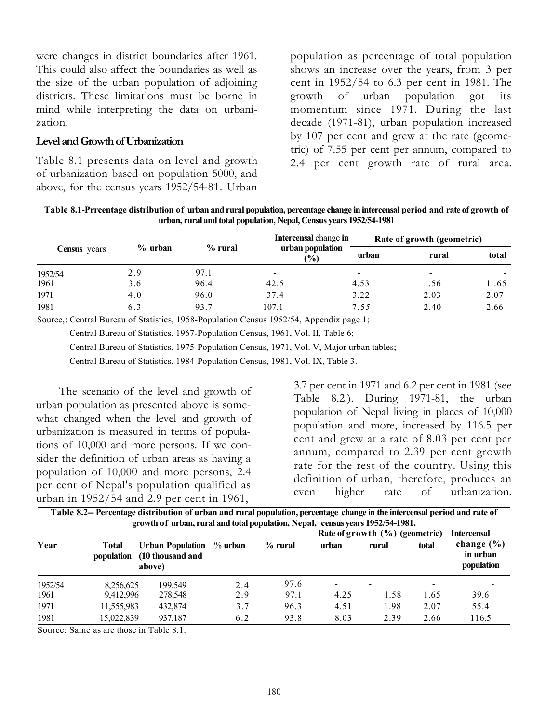were changes in district boundaries after 1961. This could also affect the boundaries as well as the size of the urban population of adjoining districts. These limitations must be borne in mind while interpreting the data on urbanization.

#### Level and Growth of Urbanization

Table 8.1 presents data on level and growth of urbanization based on population 5000, and above, for the census years 1952/54-81. Urban population as percentage of total population shows an increase over the years, from 3 per cent in 1952/54 to 6.3 per cent in 1981. The growth of urban population got its momentum since 1971. During the last decade (1971-81), urban population increased by 107 per cent and grew at the rate (geometric) of 7.55 per cent per annum, compared to 2.4 per cent growth rate of rural area.

Table 8.1-Prrcentage distribution of urban and rural population, percentage change in intercensal period and rate of growth of urban, rural and total population, Nepal, Census years 1952/54-1981

|                     |           |           | <b>Intercensal</b> change in      |                          | Rate of growth (geometric) |       |  |  |  |  |
|---------------------|-----------|-----------|-----------------------------------|--------------------------|----------------------------|-------|--|--|--|--|
| <b>Census</b> years | $%$ urban | $%$ rural | urban population<br>$\frac{1}{2}$ | urban                    | rural                      | total |  |  |  |  |
| 1952/54             | 2.9       | 97.1      | $\,$                              | $\overline{\phantom{0}}$ | ۰                          |       |  |  |  |  |
| 1961                | 3.6       | 96.4      | 42.5                              | 4.53                     | 1.56                       | 1.65  |  |  |  |  |
| 1971                | 4.0       | 96.0      | 37.4                              | 3.22                     | 2.03                       | 2.07  |  |  |  |  |
| 1981                | 6.3       | 93.7      | 107.1                             | 7.55                     | 2.40                       | 2.66  |  |  |  |  |

Source,: Central Bureau of Statistics, 1958-Population Census 1952/54, Appendix page 1;

Central Bureau of Statistics, 1967-Population Census, 1961, Vol. II, Table 6;

Central Bureau of Statistics, 1975-Population Census, 1971, Vol. V, Major urban tables;

Central Bureau of Statistics, 1984-Population Census, 1981, Vol. IX, Table 3.

The scenario of the level and growth of urban population as presented above is somewhat changed when the level and growth of urbanization is measured in terms of populations of 10,000 and more persons. If we consider the definition of urban areas as having a population of 10,000 and more persons, 2.4 per cent of Nepal's population qualified as urban in 1952/54 and 2.9 per cent in 1961,

3.7 per cent in 1971 and 6.2 per cent in 1981 (see Table 8.2.). During 1971-81, the urban population of Nepal living in places of 10,000 population and more, increased by 116.5 per cent and grew at a rate of 8.03 per cent per annum, compared to 2.39 per cent growth rate for the rest of the country. Using this definition of urban, therefore, produces an even higher rate of urbanization.

|         |                            | Table 8.2-- Percentage distribution of urban and rural population, percentage change in the intercensal period and rate of<br>growth of urban, rural and total population, Nepal, census years 1952/54-1981. |     |         |       |                                    |                          |                                          |
|---------|----------------------------|--------------------------------------------------------------------------------------------------------------------------------------------------------------------------------------------------------------|-----|---------|-------|------------------------------------|--------------------------|------------------------------------------|
|         |                            |                                                                                                                                                                                                              |     |         |       | Rate of growth $(\% )$ (geometric) |                          | <b>Intercensal</b>                       |
| Year    | Total<br><i>population</i> | Urban Population % urban<br>(10 thousand and<br>above)                                                                                                                                                       |     | % rural | urban | rural                              | total                    | change $(\% )$<br>in urban<br>population |
| 1952/54 | 8,256,625                  | 199.549                                                                                                                                                                                                      | 2.4 | 97.6    |       | $\overline{\phantom{a}}$           | $\overline{\phantom{a}}$ |                                          |

1961 9,412,996 278,548 2.9 97.1 4.25 1.58 1.65 39.6 1971 11,555,983 432,874 3.7 96.3 4.51 1.98 2.07 55.4 1981 15,022,839 937,187 6.2 93.8 8.03 2.39 2.66 116.5

Source: Same as are those in Table 8.1.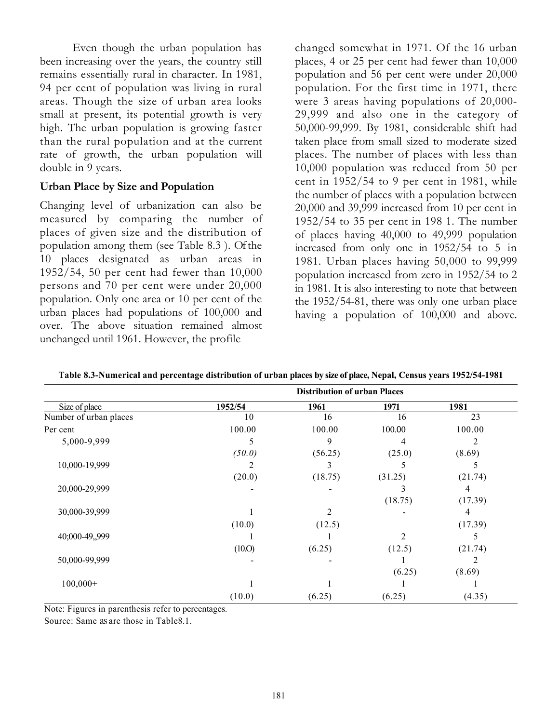Even though the urban population has been increasing over the years, the country still remains essentially rural in character. In 1981, 94 per cent of population was living in rural areas. Though the size of urban area looks small at present, its potential growth is very high. The urban population is growing faster than the rural population and at the current rate of growth, the urban population will double in 9 years.

# Urban Place by Size and Population

Changing level of urbanization can also be measured by comparing the number of places of given size and the distribution of population among them (see Table 8.3 ). Of the 10 places designated as urban areas in 1952/54, 50 per cent had fewer than 10,000 persons and 70 per cent were under 20,000 population. Only one area or 10 per cent of the urban places had populations of 100,000 and over. The above situation remained almost unchanged until 1961. However, the profile

changed somewhat in 1971. Of the 16 urban places, 4 or 25 per cent had fewer than 10,000 population and 56 per cent were under 20,000 population. For the first time in 1971, there were 3 areas having populations of 20,000- 29,999 and also one in the category of 50,000-99,999. By 1981, considerable shift had taken place from small sized to moderate sized places. The number of places with less than 10,000 population was reduced from 50 per cent in 1952/54 to 9 per cent in 1981, while the number of places with a population between 20,000 and 39,999 increased from 10 per cent in 1952/54 to 35 per cent in 198 1. The number of places having 40,000 to 49,999 population increased from only one in 1952/54 to 5 in 1981. Urban places having 50,000 to 99,999 population increased from zero in 1952/54 to 2 in 1981. It is also interesting to note that between the 1952/54-81, there was only one urban place having a population of 100,000 and above.

|                        | <b>Distribution of urban Places</b> |         |         |         |  |  |  |  |  |  |  |
|------------------------|-------------------------------------|---------|---------|---------|--|--|--|--|--|--|--|
| Size of place          | 1952/54                             | 1961    | 1971    | 1981    |  |  |  |  |  |  |  |
| Number of urban places | 10                                  | 16      | 16      | 23      |  |  |  |  |  |  |  |
| Per cent               | 100.00                              | 100.00  | 100.00  | 100.00  |  |  |  |  |  |  |  |
| 5,000-9,999            |                                     | 9       | 4       | 2       |  |  |  |  |  |  |  |
|                        | (50.0)                              | (56.25) | (25.0)  | (8.69)  |  |  |  |  |  |  |  |
| 10,000-19,999          |                                     | 3       |         |         |  |  |  |  |  |  |  |
|                        | (20.0)                              | (18.75) | (31.25) | (21.74) |  |  |  |  |  |  |  |
| 20,000-29,999          |                                     |         |         | 4       |  |  |  |  |  |  |  |
|                        |                                     |         | (18.75) | (17.39) |  |  |  |  |  |  |  |
| 30,000-39,999          |                                     | 2       |         | 4       |  |  |  |  |  |  |  |
|                        | (10.0)                              | (12.5)  |         | (17.39) |  |  |  |  |  |  |  |
| 40;000-49,,999         |                                     |         | 2       | C       |  |  |  |  |  |  |  |
|                        | (10.0)                              | (6.25)  | (12.5)  | (21.74) |  |  |  |  |  |  |  |
| 50,000-99,999          |                                     |         |         |         |  |  |  |  |  |  |  |
|                        |                                     |         | (6.25)  | (8.69)  |  |  |  |  |  |  |  |
| $100,000+$             |                                     |         |         |         |  |  |  |  |  |  |  |
|                        | (10.0)                              | (6.25)  | (6.25)  | (4.35)  |  |  |  |  |  |  |  |

Table 8.3-Numerical and percentage distribution of urban places by size of place, Nepal, Census years 1952/54-1981

Note: Figures in parenthesis refer to percentages.

Source: Same as are those in Table8.1.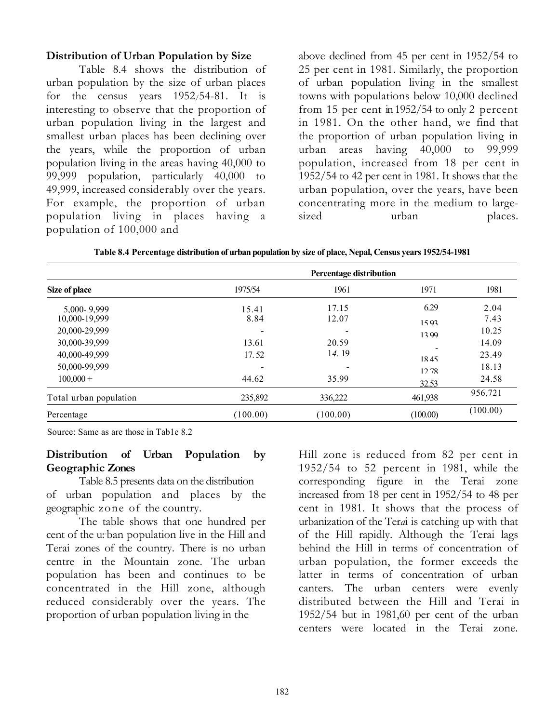### Distribution of Urban Population by Size

Table 8.4 shows the distribution of urban population by the size of urban places for the census years 1952/54-81. It is interesting to observe that the proportion of urban population living in the largest and smallest urban places has been declining over the years, while the proportion of urban population living in the areas having 40,000 to 99,999 population, particularly 40,000 to 49,999, increased considerably over the years. For example, the proportion of urban population living in places having a population of 100,000 and

above declined from 45 per cent in 1952/54 to 25 per cent in 1981. Similarly, the proportion of urban population living in the smallest towns with populations below 10,000 declined from 15 per cent in 1952/54 to only 2 percent in 1981. On the other hand, we find that the proportion of urban population living in urban areas having 40,000 to 99,999 population, increased from 18 per cent in 1952/54 to 42 per cent in 1981. It shows that the urban population, over the years, have been concentrating more in the medium to largesized urban places.

| Size of place          | 1975/54  | 1961     | 1971     | 1981     |
|------------------------|----------|----------|----------|----------|
| 5,000-9,999            | 15.41    | 17.15    | 6.29     | 2.04     |
| 10,000-19,999          | 8.84     | 12.07    | 15.93    | 7.43     |
| 20,000-29,999          |          |          | 13.99    | 10.25    |
| 30,000-39,999          | 13.61    | 20.59    |          | 14.09    |
| 40,000-49,999          | 17.52    | 14.19    | 1845     | 23.49    |
| 50,000-99,999          |          |          | 12.78    | 18.13    |
| $100,000 +$            | 44.62    | 35.99    | 32.53    | 24.58    |
| Total urban population | 235,892  | 336,222  | 461,938  | 956,721  |
| Percentage             | (100.00) | (100.00) | (100.00) | (100.00) |

Table 8.4 Percentage distribution of urban population by size of place, Nepal, Census years 1952/54-1981

Source: Same as are those in Tab1e 8.2

## Distribution of Urban Population by Geographic Zones

Table 8.5 presents data on the distribution of urban population and places by the geographic zone of the country.

The table shows that one hundred per cent of the u:-ban population live in the Hill and Terai zones of the country. There is no urban centre in the Mountain zone. The urban population has been and continues to be concentrated in the Hill zone, although reduced considerably over the years. The proportion of urban population living in the

Hill zone is reduced from 82 per cent in 1952/54 to 52 percent in 1981, while the corresponding figure in the Terai zone increased from 18 per cent in 1952/54 to 48 per cent in 1981. It shows that the process of urbanization of the Terai is catching up with that of the Hill rapidly. Although the Terai lags behind the Hill in terms of concentration of urban population, the former exceeds the latter in terms of concentration of urban canters. The urban centers were evenly distributed between the Hill and Terai in 1952/54 but in 1981,60 per cent of the urban centers were located in the Terai zone.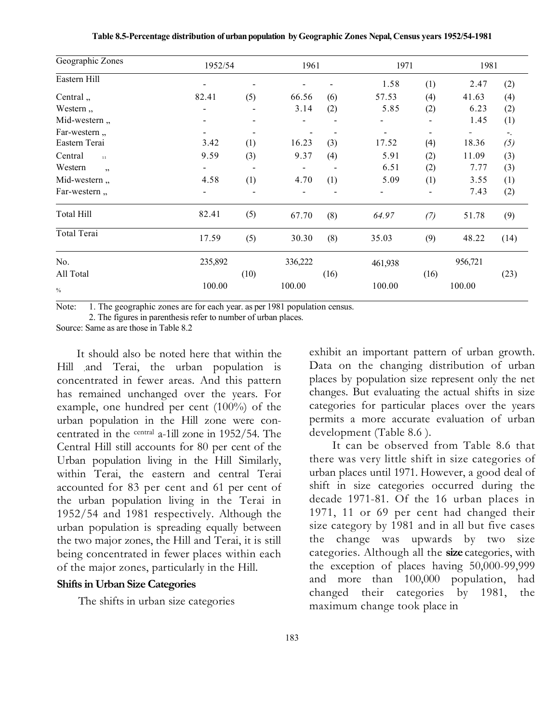| Geographic Zones | 1952/54 |                              | 1961    |                          | 1971           |                          | 1981    |      |  |
|------------------|---------|------------------------------|---------|--------------------------|----------------|--------------------------|---------|------|--|
| Eastern Hill     |         |                              |         |                          | 1.58           | (1)                      | 2.47    | (2)  |  |
| Central,         | 82.41   | (5)                          | 66.56   | (6)                      | 57.53          | (4)                      | 41.63   | (4)  |  |
| Western,         |         |                              | 3.14    | (2)                      | 5.85           | (2)                      | 6.23    | (2)  |  |
| Mid-western,     |         | $\qquad \qquad \blacksquare$ |         | $\overline{\phantom{0}}$ |                | $\overline{\phantom{a}}$ | 1.45    | (1)  |  |
| Far-western,     |         | $\overline{\phantom{a}}$     |         |                          | $\blacksquare$ | $\overline{\phantom{a}}$ | -       | ۰.   |  |
| Eastern Terai    | 3.42    | (1)                          | 16.23   | (3)                      | 17.52          | (4)                      | 18.36   | (5)  |  |
| Central<br>11    | 9.59    | (3)                          | 9.37    | (4)                      | 5.91           | (2)                      | 11.09   | (3)  |  |
| Western<br>,     |         |                              |         |                          | 6.51           | (2)                      | 7.77    | (3)  |  |
| Mid-western,     | 4.58    | (1)                          | 4.70    | (1)                      | 5.09           | (1)                      | 3.55    | (1)  |  |
| Far-western,     |         | $\overline{\phantom{a}}$     |         |                          |                | $\overline{\phantom{a}}$ | 7.43    | (2)  |  |
| Total Hill       | 82.41   | (5)                          | 67.70   | (8)                      | 64.97          | (7)                      | 51.78   | (9)  |  |
| Total Terai      | 17.59   | (5)                          | 30.30   | (8)                      | 35.03          | (9)                      | 48.22   | (14) |  |
| No.              | 235,892 |                              | 336,222 |                          | 461,938        |                          | 956,721 |      |  |
| All Total        |         | (10)                         |         | (16)                     |                | (16)                     |         | (23) |  |
| $\frac{0}{0}$    | 100.00  |                              | 100.00  |                          | 100.00         |                          | 100.00  |      |  |

Table 8.5-Percentage distribution of urban population by Geographic Zones Nepal, Census years 1952/54-1981

Note: 1. The geographic zones are for each year. as per 1981 population census.

2. The figures in parenthesis refer to number of urban places.

Source: Same as are those in Table 8.2

It should also be noted here that within the Hill .and Terai, the urban population is concentrated in fewer areas. And this pattern has remained unchanged over the years. For example, one hundred per cent (100%) of the urban population in the Hill zone were concentrated in the central a-1ill zone in 1952/54. The Central Hill still accounts for 80 per cent of the Urban population living in the Hill Similarly, within Terai, the eastern and central Terai accounted for 83 per cent and 61 per cent of the urban population living in the Terai in 1952/54 and 1981 respectively. Although the urban population is spreading equally between the two major zones, the Hill and Terai, it is still being concentrated in fewer places within each of the major zones, particularly in the Hill.

#### Shifts in Urban Size Categories

The shifts in urban size categories

exhibit an important pattern of urban growth. Data on the changing distribution of urban places by population size represent only the net changes. But evaluating the actual shifts in size categories for particular places over the years permits a more accurate evaluation of urban development (Table 8.6 ).

It can be observed from Table 8.6 that there was very little shift in size categories of urban places until 1971. However, a good deal of shift in size categories occurred during the decade 1971-81. Of the 16 urban places in 1971, 11 or 69 per cent had changed their size category by 1981 and in all but five cases the change was upwards by two size categories. Although all the size categories, with the exception of places having 50,000-99,999 and more than 100,000 population, had changed their categories by 1981, the maximum change took place in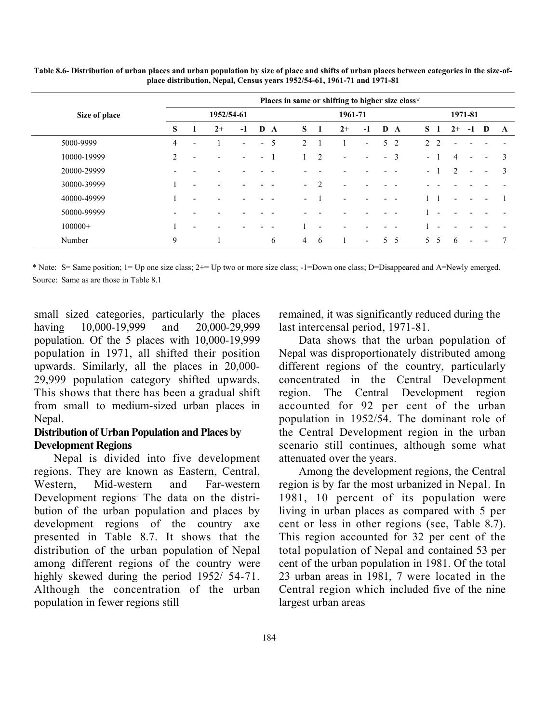|               |                |   |            |                          |                          |     |                          |                | Places in same or shifting to higher size class* |                          |                          |                |                          |                |      |                              |                          |              |
|---------------|----------------|---|------------|--------------------------|--------------------------|-----|--------------------------|----------------|--------------------------------------------------|--------------------------|--------------------------|----------------|--------------------------|----------------|------|------------------------------|--------------------------|--------------|
| Size of place |                |   | 1952/54-61 |                          |                          |     |                          |                | 1961-71                                          |                          |                          |                |                          |                |      | 1971-81                      |                          |              |
|               | S              |   | $2+$       | $-1$                     |                          | D A | S.                       | $\mathbf{1}$   | $2+$                                             | $-1$                     | D                        | A              | S <sub>1</sub>           |                | $2+$ | $-1$                         | D                        | $\mathbf{A}$ |
| 5000-9999     | 4              | ۰ |            | $\overline{\phantom{0}}$ | $\overline{\phantom{a}}$ | 5   | $\mathfrak{D}$           |                |                                                  | $\overline{\phantom{0}}$ | 5.                       | 2              | $\mathfrak{D}$           | $\overline{2}$ |      |                              |                          |              |
| 10000-19999   | $\overline{2}$ |   |            |                          | $\overline{\phantom{0}}$ |     |                          | 2              | $\overline{\phantom{a}}$                         | $\overline{\phantom{0}}$ | $\overline{\phantom{0}}$ | $\overline{3}$ | $\overline{\phantom{0}}$ |                | 4    | $\overline{\phantom{0}}$     | $\overline{\phantom{0}}$ | 3            |
| 20000-29999   |                |   |            |                          |                          |     |                          |                |                                                  |                          |                          |                | $\sim$                   |                | 2    | $\qquad \qquad \blacksquare$ | $\overline{\phantom{a}}$ | 3            |
| 30000-39999   |                |   |            |                          |                          |     | $\overline{\phantom{0}}$ | $\overline{2}$ | $\overline{\phantom{0}}$                         |                          |                          |                |                          |                |      |                              |                          |              |
| 40000-49999   |                |   |            |                          |                          |     | $\overline{\phantom{0}}$ |                | $\overline{a}$                                   |                          |                          |                |                          |                |      |                              |                          |              |
| 50000-99999   |                |   |            |                          |                          |     |                          |                |                                                  |                          |                          |                |                          |                |      |                              |                          |              |
| $100000+$     |                |   |            |                          |                          |     |                          | ٠              | $\overline{a}$                                   |                          |                          |                |                          |                |      |                              |                          |              |
| Number        | 9              |   |            |                          |                          | 6   | $\overline{4}$           | -6             |                                                  | $\overline{\phantom{0}}$ | 5.                       | 5              | 5.                       | -5             | 6    | $\overline{\phantom{0}}$     | $\overline{\phantom{a}}$ |              |

Table 8.6- Distribution of urban places and urban population by size of place and shifts of urban places between categories in the size-ofplace distribution, Nepal, Census years 1952/54-61, 1961-71 and 1971-81

\* Note: S= Same position; 1= Up one size class; 2+= Up two or more size class; -1=Down one class; D=Disappeared and A=Newly emerged. Source: Same as are those in Table 8.1

small sized categories, particularly the places having 10,000-19,999 and 20,000-29,999 population. Of the 5 places with 10,000-19,999 population in 1971, all shifted their position upwards. Similarly, all the places in 20,000- 29,999 population category shifted upwards. This shows that there has been a gradual shift from small to medium-sized urban places in Nepal.

### Distribution of Urban Population and Places by Development Regions

Nepal is divided into five development regions. They are known as Eastern, Central, Western, Mid-western and Far-western Development regions. The data on the distribution of the urban population and places by development regions of the country axe presented in Table 8.7. It shows that the distribution of the urban population of Nepal among different regions of the country were highly skewed during the period 1952/54-71. Although the concentration of the urban population in fewer regions still

remained, it was significantly reduced during the last intercensal period, 1971-81.

Data shows that the urban population of Nepal was disproportionately distributed among different regions of the country, particularly concentrated in the Central Development region. The Central Development region accounted for 92 per cent of the urban population in 1952/54. The dominant role of the Central Development region in the urban scenario still continues, although some what attenuated over the years.

Among the development regions, the Central region is by far the most urbanized in Nepal. In 1981, 10 percent of its population were living in urban places as compared with 5 per cent or less in other regions (see, Table 8.7). This region accounted for 32 per cent of the total population of Nepal and contained 53 per cent of the urban population in 1981. Of the total 23 urban areas in 1981, 7 were located in the Central region which included five of the nine largest urban areas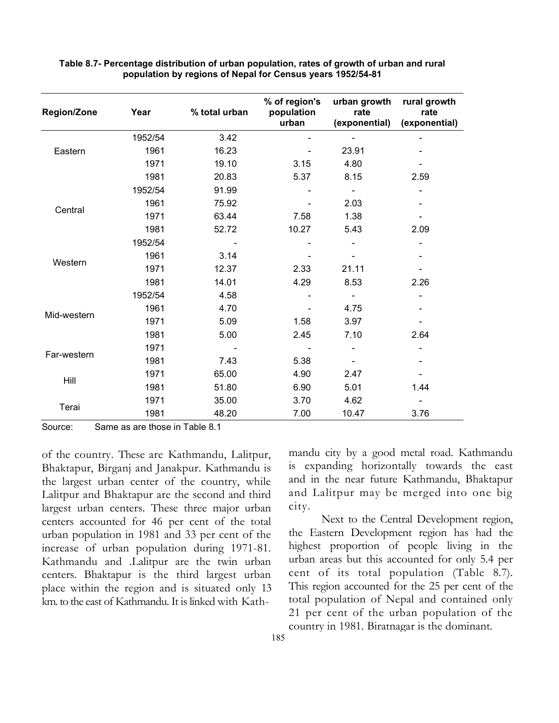| <b>Region/Zone</b> | Year    | % total urban | % of region's<br>population<br>urban | urban growth<br>rate<br>(exponential) | rural growth<br>rate<br>(exponential) |
|--------------------|---------|---------------|--------------------------------------|---------------------------------------|---------------------------------------|
|                    | 1952/54 | 3.42          |                                      |                                       |                                       |
| Eastern            | 1961    | 16.23         |                                      | 23.91                                 |                                       |
|                    | 1971    | 19.10         | 3.15                                 | 4.80                                  |                                       |
|                    | 1981    | 20.83         | 5.37                                 | 8.15                                  | 2.59                                  |
|                    | 1952/54 | 91.99         |                                      | $\overline{\phantom{a}}$              |                                       |
| Central            | 1961    | 75.92         |                                      | 2.03                                  |                                       |
|                    | 1971    | 63.44         | 7.58                                 | 1.38                                  |                                       |
|                    | 1981    | 52.72         | 10.27                                | 5.43                                  | 2.09                                  |
|                    | 1952/54 |               |                                      |                                       |                                       |
| Western            | 1961    | 3.14          |                                      |                                       |                                       |
|                    | 1971    | 12.37         | 2.33                                 | 21.11                                 |                                       |
|                    | 1981    | 14.01         | 4.29                                 | 8.53                                  | 2.26                                  |
|                    | 1952/54 | 4.58          |                                      |                                       |                                       |
|                    | 1961    | 4.70          |                                      | 4.75                                  |                                       |
| Mid-western        | 1971    | 5.09          | 1.58                                 | 3.97                                  |                                       |
|                    | 1981    | 5.00          | 2.45                                 | 7.10                                  | 2.64                                  |
|                    | 1971    |               |                                      |                                       |                                       |
| Far-western        | 1981    | 7.43          | 5.38                                 |                                       |                                       |
|                    | 1971    | 65.00         | 4.90                                 | 2.47                                  |                                       |
| Hill               | 1981    | 51.80         | 6.90                                 | 5.01                                  | 1.44                                  |
|                    | 1971    | 35.00         | 3.70                                 | 4.62                                  |                                       |
| Terai              | 1981    | 48.20         | 7.00                                 | 10.47                                 | 3.76                                  |

Table 8.7- Percentage distribution of urban population, rates of growth of urban and rural population by regions of Nepal for Census years 1952/54-81

Source: Same as are those in Table 8.1

of the country. These are Kathmandu, Lalitpur, Bhaktapur, Birganj and Janakpur. Kathmandu is the largest urban center of the country, while Lalitpur and Bhaktapur are the second and third largest urban centers. These three major urban centers accounted for 46 per cent of the total urban population in 1981 and 33 per cent of the increase of urban population during 1971-81. Kathmandu and .Lalitpur are the twin urban centers. Bhaktapur is the third largest urban place within the region and is situated only 13 km. to the east of Kathmandu. It is linked with Kathmandu city by a good metal road. Kathmandu is expanding horizontally towards the east and in the near future Kathmandu, Bhaktapur and Lalitpur may be merged into one big city.

 Next to the Central Development region, the Eastern Development region has had the highest proportion of people living in the urban areas but this accounted for only 5.4 per cent of its total population (Table 8.7). This region accounted for the 25 per cent of the total population of Nepal and contained only 21 per cent of the urban population of the country in 1981. Biratnagar is the dominant.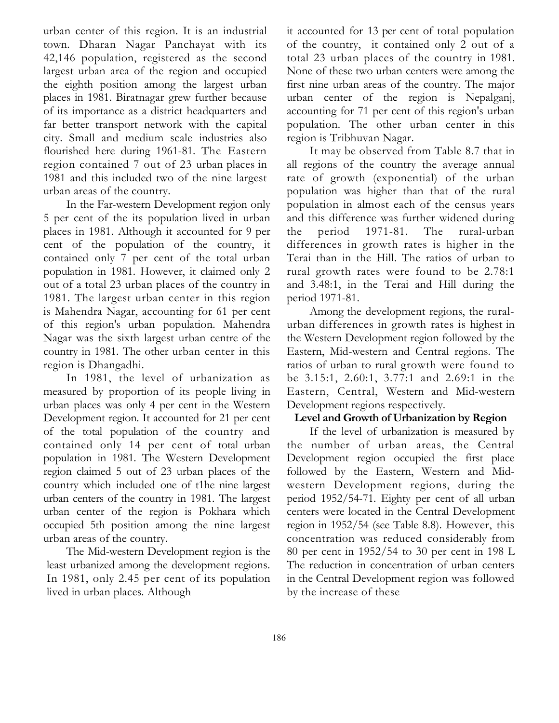urban center of this region. It is an industrial town. Dharan Nagar Panchayat with its 42,146 population, registered as the second largest urban area of the region and occupied the eighth position among the largest urban places in 1981. Biratnagar grew further because of its importance as a district headquarters and far better transport network with the capital city. Small and medium scale industries also flourished here during 1961-81. The Eastern region contained 7 out of 23 urban places in 1981 and this included two of the nine largest urban areas of the country.

In the Far-western Development region only 5 per cent of the its population lived in urban places in 1981. Although it accounted for 9 per cent of the population of the country, it contained only 7 per cent of the total urban population in 1981. However, it claimed only 2 out of a total 23 urban places of the country in 1981. The largest urban center in this region is Mahendra Nagar, accounting for 61 per cent of this region's urban population. Mahendra Nagar was the sixth largest urban centre of the country in 1981. The other urban center in this region is Dhangadhi.

In 1981, the level of urbanization as measured by proportion of its people living in urban places was only 4 per cent in the Western Development region. It accounted for 21 per cent of the total population of the country and contained only 14 per cent of total urban population in 1981. The Western Development region claimed 5 out of 23 urban places of the country which included one of t1he nine largest urban centers of the country in 1981. The largest urban center of the region is Pokhara which occupied 5th position among the nine largest urban areas of the country.

The Mid-western Development region is the least urbanized among the development regions. In 1981, only 2.45 per cent of its population lived in urban places. Although

it accounted for 13 per cent of total population of the country, it contained only 2 out of a total 23 urban places of the country in 1981. None of these two urban centers were among the first nine urban areas of the country. The major urban center of the region is Nepalganj, accounting for 71 per cent of this region's urban population. The other urban center in this region is Tribhuvan Nagar.

It may be observed from Table 8.7 that in all regions of the country the average annual rate of growth (exponential) of the urban population was higher than that of the rural population in almost each of the census years and this difference was further widened during the period 1971-81. The rural-urban differences in growth rates is higher in the Terai than in the Hill. The ratios of urban to rural growth rates were found to be 2.78:1 and 3.48:1, in the Terai and Hill during the period 1971-81.

Among the development regions, the ruralurban differences in growth rates is highest in the Western Development region followed by the Eastern, Mid-western and Central regions. The ratios of urban to rural growth were found to be 3.15:1, 2.60:1, 3.77:1 and 2.69:1 in the Eastern, Central, Western and Mid-western Development regions respectively.

### Level and Growth of Urbanization by Region

If the level of urbanization is measured by the number of urban areas, the Central Development region occupied the first place followed by the Eastern, Western and Midwestern Development regions, during the period 1952/54-71. Eighty per cent of all urban centers were located in the Central Development region in 1952/54 (see Table 8.8). However, this concentration was reduced considerably from 80 per cent in 1952/54 to 30 per cent in 198 L The reduction in concentration of urban centers in the Central Development region was followed by the increase of these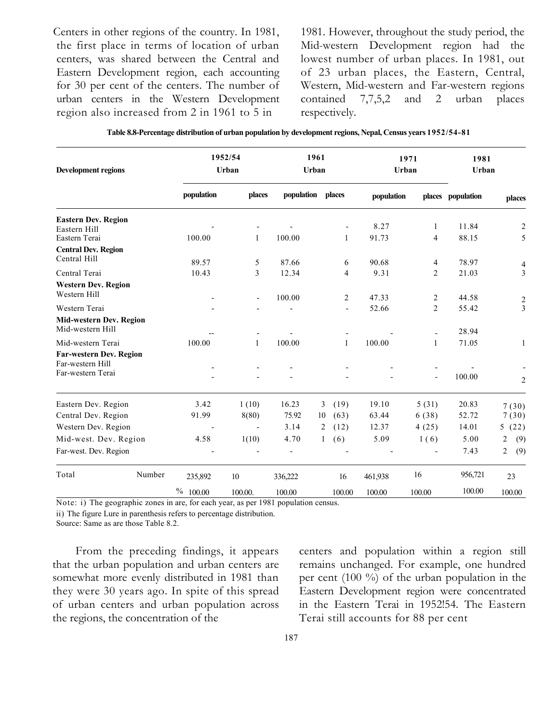Centers in other regions of the country. In 1981, the first place in terms of location of urban centers, was shared between the Central and Eastern Development region, each accounting for 30 per cent of the centers. The number of urban centers in the Western Development region also increased from 2 in 1961 to 5 in

1981. However, throughout the study period, the Mid-western Development region had the lowest number of urban places. In 1981, out of 23 urban places, the Eastern, Central, Western, Mid-western and Far-western regions contained 7,7,5,2 and 2 urban places respectively.

| Table 8.8-Percentage distribution of urban population by development regions, Nepal, Census years 1952/54-81 |  |  |  |
|--------------------------------------------------------------------------------------------------------------|--|--|--|
|                                                                                                              |  |  |  |

| <b>Development regions</b>                                              |             | 1952/54<br>Urban         | 1961<br>Urban  |            |                          | Urban      | 1971           | 1981<br>Urban     |                                    |
|-------------------------------------------------------------------------|-------------|--------------------------|----------------|------------|--------------------------|------------|----------------|-------------------|------------------------------------|
|                                                                         | population  | places                   | population     | places     |                          | population |                | places population | places                             |
| <b>Eastern Dev. Region</b><br>Eastern Hill                              |             |                          |                |            |                          | 8.27       | $\mathbf{1}$   | 11.84             | $\overline{2}$                     |
| Eastern Terai                                                           | 100.00      | 1                        | 100.00         |            | 1                        | 91.73      | 4              | 88.15             | 5                                  |
| <b>Central Dev. Region</b><br>Central Hill                              | 89.57       | 5                        | 87.66          |            | 6                        | 90.68      | 4              | 78.97             | $\overline{4}$                     |
| Central Terai                                                           | 10.43       | 3                        | 12.34          |            | 4                        | 9.31       | $\overline{2}$ | 21.03             | 3                                  |
| <b>Western Dev. Region</b><br>Western Hill                              |             | $\overline{\phantom{a}}$ | 100.00         |            | $\overline{2}$           | 47.33      | $\overline{2}$ | 44.58             |                                    |
| Western Terai                                                           |             |                          |                |            | $\overline{\phantom{a}}$ | 52.66      | $\overline{2}$ | 55.42             | $\boldsymbol{2}$<br>$\overline{3}$ |
| Mid-western Dev. Region<br>Mid-western Hill                             |             |                          |                |            |                          |            |                | 28.94             |                                    |
| Mid-western Terai                                                       | 100.00      | $\mathbf{1}$             | 100.00         |            | $\mathbf{1}$             | 100.00     | 1              | 71.05             | $1\,$                              |
| <b>Far-western Dev. Region</b><br>Far-western Hill<br>Far-western Terai |             |                          |                |            |                          |            |                | 100.00            | $\mathfrak{2}$                     |
| Eastern Dev. Region                                                     | 3.42        | 1(10)                    | 16.23          | 3<br>(19)  |                          | 19.10      | 5(31)          | 20.83             | 7(30)                              |
| Central Dev. Region                                                     | 91.99       | 8(80)                    | 75.92          | (63)<br>10 |                          | 63.44      | 6(38)          | 52.72             | 7(30)                              |
| Western Dev. Region                                                     |             | $\blacksquare$           | 3.14           | (12)<br>2  |                          | 12.37      | 4(25)          | 14.01             | (22)<br>5                          |
| Mid-west. Dev. Region                                                   | 4.58        | 1(10)                    | 4.70           | (6)<br>1   |                          | 5.09       | 1(6)           | 5.00              | 2<br>(9)                           |
| Far-west. Dev. Region                                                   |             |                          | $\overline{a}$ |            |                          |            |                | 7.43              | $\overline{2}$<br>(9)              |
| Total<br>Number                                                         | 235,892     | 10                       | 336,222        | 16         |                          | 461,938    | 16             | 956,721           | 23                                 |
|                                                                         | $\%$ 100.00 | 100.00.                  | 100.00         | 100.00     |                          | 100.00     | 100.00         | 100.00            | 100.00                             |

Note: i) The geographic zones in are, for each year, as per 1981 population census.

ii) The figure Lure in parenthesis refers to percentage distribution.

Source: Same as are those Table 8.2.

From the preceding findings, it appears that the urban population and urban centers are somewhat more evenly distributed in 1981 than they were 30 years ago. In spite of this spread of urban centers and urban population across the regions, the concentration of the

centers and population within a region still remains unchanged. For example, one hundred per cent (100 %) of the urban population in the Eastern Development region were concentrated in the Eastern Terai in 1952!54. The Eastern Terai still accounts for 88 per cent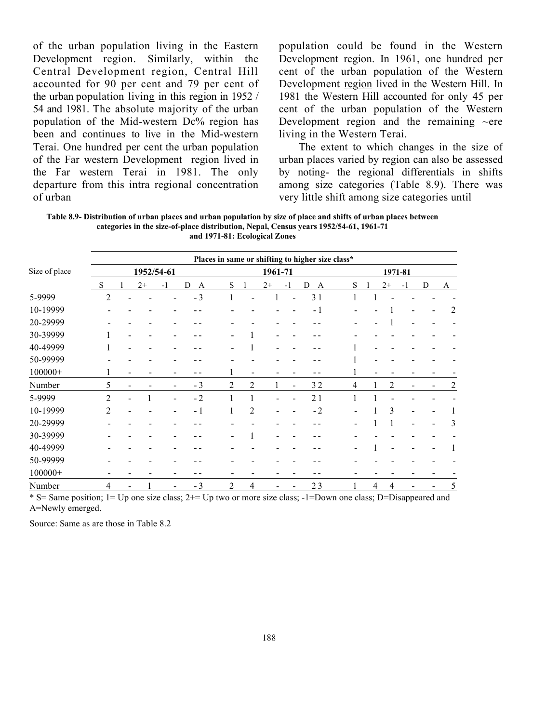of the urban population living in the Eastern Development region. Similarly, within the Central Development region, Central Hill accounted for 90 per cent and 79 per cent of the urban population living in this region in 1952 / 54 and 1981. The absolute majority of the urban population of the Mid-western Dc% region has been and continues to live in the Mid-western Terai. One hundred per cent the urban population of the Far western Development region lived in the Far western Terai in 1981. The only departure from this intra regional concentration of urban

population could be found in the Western Development region. In 1961, one hundred per cent of the urban population of the Western Development region lived in the Western Hill. In 1981 the Western Hill accounted for only 45 per cent of the urban population of the Western Development region and the remaining  $\sim$ ere living in the Western Terai.

The extent to which changes in the size of urban places varied by region can also be assessed by noting- the regional differentials in shifts among size categories (Table 8.9). There was very little shift among size categories until

Table 8.9- Distribution of urban places and urban population by size of place and shifts of urban places between categories in the size-of-place distribution, Nepal, Census years 1952/54-61, 1961-71 and 1971-81: Ecological Zones

|               |                |      |            |                     |                          |                |         |                          | Places in same or shifting to higher size class* |   |              |      |      |   |                |
|---------------|----------------|------|------------|---------------------|--------------------------|----------------|---------|--------------------------|--------------------------------------------------|---|--------------|------|------|---|----------------|
| Size of place |                |      | 1952/54-61 |                     |                          |                | 1961-71 |                          |                                                  |   | 1971-81      |      |      |   |                |
|               | S              | $2+$ | $-1$       | D<br>$\overline{A}$ | S                        |                | $2+$    | $-1$                     | D<br>$\overline{A}$                              | S | $\mathbf{1}$ | $2+$ | $-1$ | D | A              |
| 5-9999        | 2              |      |            | $-3$                |                          |                | 1       | $\overline{\phantom{0}}$ | 31                                               |   |              |      |      |   |                |
| 10-19999      |                |      |            |                     |                          |                |         |                          | $-1$                                             |   |              |      |      |   | 2              |
| 20-29999      |                |      |            |                     |                          |                |         |                          |                                                  |   |              |      |      |   |                |
| 30-39999      |                |      |            |                     |                          |                |         |                          |                                                  |   |              |      |      |   |                |
| 40-49999      |                |      |            |                     |                          |                |         |                          |                                                  |   |              |      |      |   |                |
| 50-99999      |                |      |            |                     |                          |                |         |                          |                                                  |   |              |      |      |   |                |
| $100000+$     | $\mathbf{I}$   |      |            |                     |                          |                |         |                          |                                                  | 1 |              |      |      |   |                |
| Number        | 5              |      |            | $-3$                | 2                        | 2              | 1       | $\blacksquare$           | 32                                               | 4 | 1            | 2    |      |   | $\overline{2}$ |
| 5-9999        | $\overline{2}$ |      |            | $-2$                |                          |                |         |                          | 21                                               |   |              |      |      |   |                |
| 10-19999      | $\overline{2}$ |      |            | $-1$                | 1                        | $\overline{2}$ |         |                          | $-2$                                             |   |              | 3    |      |   |                |
| 20-29999      |                |      |            |                     |                          |                |         |                          |                                                  |   |              |      |      |   | 3              |
| 30-39999      |                |      |            |                     |                          |                |         |                          |                                                  |   |              |      |      |   |                |
| 40-49999      |                |      |            |                     |                          |                |         |                          |                                                  |   |              |      |      |   |                |
| 50-99999      |                |      |            |                     |                          |                |         |                          |                                                  |   |              |      |      |   |                |
| $100000+$     |                |      |            |                     |                          |                |         |                          |                                                  |   |              |      |      |   |                |
| Number        | 4              |      |            | $-3$                | $\mathfrak{D}_{1}^{(1)}$ | 4              |         |                          | 23                                               |   | 4            | 4    |      |   | 5              |

\* S= Same position; 1= Up one size class; 2+= Up two or more size class; -1=Down one class; D=Disappeared and A=Newly emerged.

Source: Same as are those in Table 8.2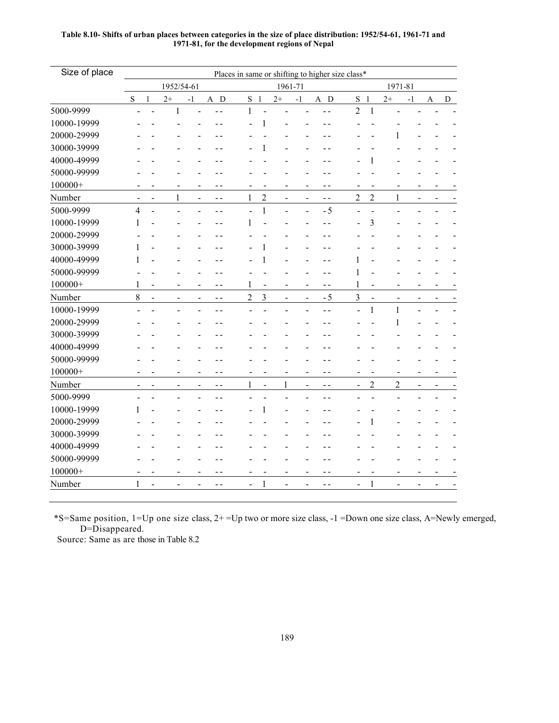| 1952/54-61<br>1961-71<br>1971-81<br>S <sub>1</sub><br>$\mathbf S$<br>S <sub>1</sub><br>$2+$<br>$\mathbf{1}$<br>$2+$<br>A D<br>$2+$<br>$^{\rm -1}$<br>A D<br>${\bf D}$<br>$-1$<br>$-1$<br>$\boldsymbol{\mathsf{A}}$<br>$\overline{2}$<br>$\,1$<br>$\mathbf{1}$<br>$\mathbf{1}$<br>÷,<br>1<br>1<br>1<br>1<br>$\overline{c}$<br>$\overline{c}$<br>$\overline{c}$<br>1<br>1<br>1<br>$\overline{a}$<br>$\blacksquare$<br>$ -$<br>L,<br>$ -$<br>$\overline{a}$<br>$\mathbf{1}$<br>$-5$<br>$\overline{4}$<br>3<br>1<br>1<br>1<br>1<br>$\mathbf{1}$<br>1<br>$\mathbf{1}$<br>1<br>1<br>- -<br>$\overline{a}$<br>$\,8\,$<br>$\overline{3}$<br>$\overline{2}$<br>3<br>$-5$<br>$\blacksquare$<br>$\blacksquare$<br>$\blacksquare$<br>$\overline{\phantom{0}}$<br>$\blacksquare$<br>$ -$<br>$\blacksquare$<br>1<br>$\mathbf{1}$<br>1<br>$ -$<br>$- -$<br>$\overline{\phantom{0}}$<br>$\overline{\phantom{0}}$<br>$\overline{c}$<br>$\overline{2}$<br>1<br>$\mathbf{1}$<br>$\frac{1}{2}$<br>$\overline{a}$<br>$\overline{a}$<br>$\overline{\phantom{a}}$<br>$\sim$ $\sim$<br>$\sim$ $\sim$<br>1<br>1<br>$\mathbf{1}$<br>1<br>1 | Size of place |  |  |  |  | Places in same or shifting to higher size class* |  |  |  |  |  |  |  |  |  |
|------------------------------------------------------------------------------------------------------------------------------------------------------------------------------------------------------------------------------------------------------------------------------------------------------------------------------------------------------------------------------------------------------------------------------------------------------------------------------------------------------------------------------------------------------------------------------------------------------------------------------------------------------------------------------------------------------------------------------------------------------------------------------------------------------------------------------------------------------------------------------------------------------------------------------------------------------------------------------------------------------------------------------------------------------------------------------------------------------------------|---------------|--|--|--|--|--------------------------------------------------|--|--|--|--|--|--|--|--|--|
|                                                                                                                                                                                                                                                                                                                                                                                                                                                                                                                                                                                                                                                                                                                                                                                                                                                                                                                                                                                                                                                                                                                  |               |  |  |  |  |                                                  |  |  |  |  |  |  |  |  |  |
|                                                                                                                                                                                                                                                                                                                                                                                                                                                                                                                                                                                                                                                                                                                                                                                                                                                                                                                                                                                                                                                                                                                  |               |  |  |  |  |                                                  |  |  |  |  |  |  |  |  |  |
|                                                                                                                                                                                                                                                                                                                                                                                                                                                                                                                                                                                                                                                                                                                                                                                                                                                                                                                                                                                                                                                                                                                  | 5000-9999     |  |  |  |  |                                                  |  |  |  |  |  |  |  |  |  |
|                                                                                                                                                                                                                                                                                                                                                                                                                                                                                                                                                                                                                                                                                                                                                                                                                                                                                                                                                                                                                                                                                                                  | 10000-19999   |  |  |  |  |                                                  |  |  |  |  |  |  |  |  |  |
|                                                                                                                                                                                                                                                                                                                                                                                                                                                                                                                                                                                                                                                                                                                                                                                                                                                                                                                                                                                                                                                                                                                  | 20000-29999   |  |  |  |  |                                                  |  |  |  |  |  |  |  |  |  |
|                                                                                                                                                                                                                                                                                                                                                                                                                                                                                                                                                                                                                                                                                                                                                                                                                                                                                                                                                                                                                                                                                                                  | 30000-39999   |  |  |  |  |                                                  |  |  |  |  |  |  |  |  |  |
|                                                                                                                                                                                                                                                                                                                                                                                                                                                                                                                                                                                                                                                                                                                                                                                                                                                                                                                                                                                                                                                                                                                  | 40000-49999   |  |  |  |  |                                                  |  |  |  |  |  |  |  |  |  |
|                                                                                                                                                                                                                                                                                                                                                                                                                                                                                                                                                                                                                                                                                                                                                                                                                                                                                                                                                                                                                                                                                                                  | 50000-99999   |  |  |  |  |                                                  |  |  |  |  |  |  |  |  |  |
|                                                                                                                                                                                                                                                                                                                                                                                                                                                                                                                                                                                                                                                                                                                                                                                                                                                                                                                                                                                                                                                                                                                  | $100000+$     |  |  |  |  |                                                  |  |  |  |  |  |  |  |  |  |
|                                                                                                                                                                                                                                                                                                                                                                                                                                                                                                                                                                                                                                                                                                                                                                                                                                                                                                                                                                                                                                                                                                                  | Number        |  |  |  |  |                                                  |  |  |  |  |  |  |  |  |  |
|                                                                                                                                                                                                                                                                                                                                                                                                                                                                                                                                                                                                                                                                                                                                                                                                                                                                                                                                                                                                                                                                                                                  | 5000-9999     |  |  |  |  |                                                  |  |  |  |  |  |  |  |  |  |
|                                                                                                                                                                                                                                                                                                                                                                                                                                                                                                                                                                                                                                                                                                                                                                                                                                                                                                                                                                                                                                                                                                                  | 10000-19999   |  |  |  |  |                                                  |  |  |  |  |  |  |  |  |  |
|                                                                                                                                                                                                                                                                                                                                                                                                                                                                                                                                                                                                                                                                                                                                                                                                                                                                                                                                                                                                                                                                                                                  | 20000-29999   |  |  |  |  |                                                  |  |  |  |  |  |  |  |  |  |
|                                                                                                                                                                                                                                                                                                                                                                                                                                                                                                                                                                                                                                                                                                                                                                                                                                                                                                                                                                                                                                                                                                                  | 30000-39999   |  |  |  |  |                                                  |  |  |  |  |  |  |  |  |  |
|                                                                                                                                                                                                                                                                                                                                                                                                                                                                                                                                                                                                                                                                                                                                                                                                                                                                                                                                                                                                                                                                                                                  | 40000-49999   |  |  |  |  |                                                  |  |  |  |  |  |  |  |  |  |
|                                                                                                                                                                                                                                                                                                                                                                                                                                                                                                                                                                                                                                                                                                                                                                                                                                                                                                                                                                                                                                                                                                                  | 50000-99999   |  |  |  |  |                                                  |  |  |  |  |  |  |  |  |  |
|                                                                                                                                                                                                                                                                                                                                                                                                                                                                                                                                                                                                                                                                                                                                                                                                                                                                                                                                                                                                                                                                                                                  | $100000+$     |  |  |  |  |                                                  |  |  |  |  |  |  |  |  |  |
|                                                                                                                                                                                                                                                                                                                                                                                                                                                                                                                                                                                                                                                                                                                                                                                                                                                                                                                                                                                                                                                                                                                  | Number        |  |  |  |  |                                                  |  |  |  |  |  |  |  |  |  |
|                                                                                                                                                                                                                                                                                                                                                                                                                                                                                                                                                                                                                                                                                                                                                                                                                                                                                                                                                                                                                                                                                                                  | 10000-19999   |  |  |  |  |                                                  |  |  |  |  |  |  |  |  |  |
|                                                                                                                                                                                                                                                                                                                                                                                                                                                                                                                                                                                                                                                                                                                                                                                                                                                                                                                                                                                                                                                                                                                  | 20000-29999   |  |  |  |  |                                                  |  |  |  |  |  |  |  |  |  |
|                                                                                                                                                                                                                                                                                                                                                                                                                                                                                                                                                                                                                                                                                                                                                                                                                                                                                                                                                                                                                                                                                                                  | 30000-39999   |  |  |  |  |                                                  |  |  |  |  |  |  |  |  |  |
|                                                                                                                                                                                                                                                                                                                                                                                                                                                                                                                                                                                                                                                                                                                                                                                                                                                                                                                                                                                                                                                                                                                  | 40000-49999   |  |  |  |  |                                                  |  |  |  |  |  |  |  |  |  |
|                                                                                                                                                                                                                                                                                                                                                                                                                                                                                                                                                                                                                                                                                                                                                                                                                                                                                                                                                                                                                                                                                                                  | 50000-99999   |  |  |  |  |                                                  |  |  |  |  |  |  |  |  |  |
|                                                                                                                                                                                                                                                                                                                                                                                                                                                                                                                                                                                                                                                                                                                                                                                                                                                                                                                                                                                                                                                                                                                  | $100000+$     |  |  |  |  |                                                  |  |  |  |  |  |  |  |  |  |
|                                                                                                                                                                                                                                                                                                                                                                                                                                                                                                                                                                                                                                                                                                                                                                                                                                                                                                                                                                                                                                                                                                                  | Number        |  |  |  |  |                                                  |  |  |  |  |  |  |  |  |  |
|                                                                                                                                                                                                                                                                                                                                                                                                                                                                                                                                                                                                                                                                                                                                                                                                                                                                                                                                                                                                                                                                                                                  | 5000-9999     |  |  |  |  |                                                  |  |  |  |  |  |  |  |  |  |
|                                                                                                                                                                                                                                                                                                                                                                                                                                                                                                                                                                                                                                                                                                                                                                                                                                                                                                                                                                                                                                                                                                                  | 10000-19999   |  |  |  |  |                                                  |  |  |  |  |  |  |  |  |  |
|                                                                                                                                                                                                                                                                                                                                                                                                                                                                                                                                                                                                                                                                                                                                                                                                                                                                                                                                                                                                                                                                                                                  | 20000-29999   |  |  |  |  |                                                  |  |  |  |  |  |  |  |  |  |
|                                                                                                                                                                                                                                                                                                                                                                                                                                                                                                                                                                                                                                                                                                                                                                                                                                                                                                                                                                                                                                                                                                                  | 30000-39999   |  |  |  |  |                                                  |  |  |  |  |  |  |  |  |  |
|                                                                                                                                                                                                                                                                                                                                                                                                                                                                                                                                                                                                                                                                                                                                                                                                                                                                                                                                                                                                                                                                                                                  | 40000-49999   |  |  |  |  |                                                  |  |  |  |  |  |  |  |  |  |
|                                                                                                                                                                                                                                                                                                                                                                                                                                                                                                                                                                                                                                                                                                                                                                                                                                                                                                                                                                                                                                                                                                                  | 50000-99999   |  |  |  |  |                                                  |  |  |  |  |  |  |  |  |  |
|                                                                                                                                                                                                                                                                                                                                                                                                                                                                                                                                                                                                                                                                                                                                                                                                                                                                                                                                                                                                                                                                                                                  | $100000+$     |  |  |  |  |                                                  |  |  |  |  |  |  |  |  |  |
|                                                                                                                                                                                                                                                                                                                                                                                                                                                                                                                                                                                                                                                                                                                                                                                                                                                                                                                                                                                                                                                                                                                  | Number        |  |  |  |  |                                                  |  |  |  |  |  |  |  |  |  |

Table 8.10- Shifts of urban places between categories in the size of place distribution: 1952/54-61, 1961-71 and 1971-81, for the development regions of Nepal

\*S=Same position, 1=Up one size class, 2+ =Up two or more size class, -1 =Down one size class, A=Newly emerged, D=Disappeared.

Source: Same as are those in Table 8.2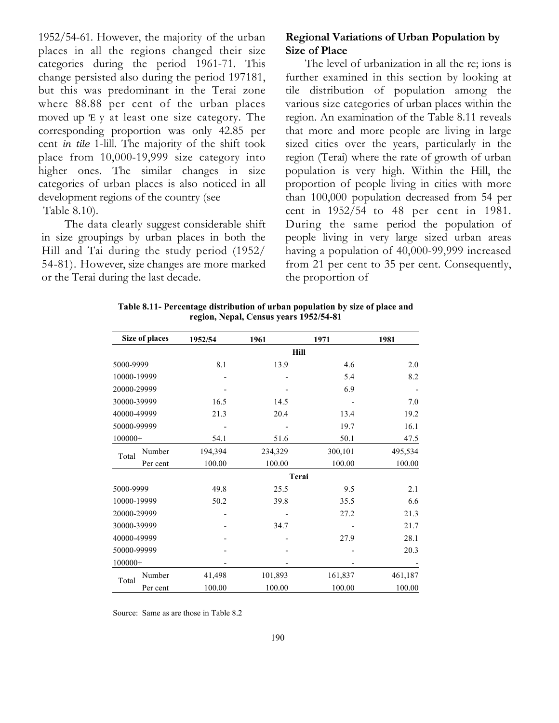1952/54-61. However, the majority of the urban places in all the regions changed their size categories during the period 1961-71. This change persisted also during the period 197181, but this was predominant in the Terai zone where 88.88 per cent of the urban places moved up 'E y at least one size category. The corresponding proportion was only 42.85 per cent in tile 1-lill. The majority of the shift took place from 10,000-19,999 size category into higher ones. The similar changes in size categories of urban places is also noticed in all development regions of the country (see Table 8.10).

The data clearly suggest considerable shift in size groupings by urban places in both the Hill and Tai during the study period (1952/ 54-81). However, size changes are more marked or the Terai during the last decade.

## Regional Variations of Urban Population by Size of Place

The level of urbanization in all the re; ions is further examined in this section by looking at tile distribution of population among the various size categories of urban places within the region. An examination of the Table 8.11 reveals that more and more people are living in large sized cities over the years, particularly in the region (Terai) where the rate of growth of urban population is very high. Within the Hill, the proportion of people living in cities with more than 100,000 population decreased from 54 per cent in 1952/54 to 48 per cent in 1981. During the same period the population of people living in very large sized urban areas having a population of 40,000-99,999 increased from 21 per cent to 35 per cent. Consequently, the proportion of

Table 8.11- Percentage distribution of urban population by size of place and region, Nepal, Census years 1952/54-81

|             | Size of places | 1952/54 | 1961    | 1971    | 1981    |
|-------------|----------------|---------|---------|---------|---------|
|             |                |         |         | Hill    |         |
| 5000-9999   |                | 8.1     | 13.9    | 4.6     | 2.0     |
| 10000-19999 |                |         |         | 5.4     | 8.2     |
| 20000-29999 |                |         |         | 6.9     |         |
| 30000-39999 |                | 16.5    | 14.5    |         | 7.0     |
| 40000-49999 |                | 21.3    | 20.4    | 13.4    | 19.2    |
| 50000-99999 |                |         |         | 19.7    | 16.1    |
| $100000+$   |                | 54.1    | 51.6    | 50.1    | 47.5    |
| Total       | Number         | 194,394 | 234,329 | 300,101 | 495,534 |
|             | Per cent       | 100.00  | 100.00  | 100.00  | 100.00  |
|             |                |         |         | Terai   |         |
| 5000-9999   |                | 49.8    | 25.5    | 9.5     | 2.1     |
| 10000-19999 |                | 50.2    | 39.8    | 35.5    | 6.6     |
| 20000-29999 |                |         |         | 27.2    | 21.3    |
| 30000-39999 |                |         | 34.7    |         | 21.7    |
| 40000-49999 |                |         |         | 27.9    | 28.1    |
| 50000-99999 |                |         |         |         | 20.3    |
| $100000+$   |                |         |         |         |         |
| Total       | Number         | 41,498  | 101,893 | 161,837 | 461,187 |
|             | Per cent       | 100.00  | 100.00  | 100.00  | 100.00  |

Source: Same as are those in Table 8.2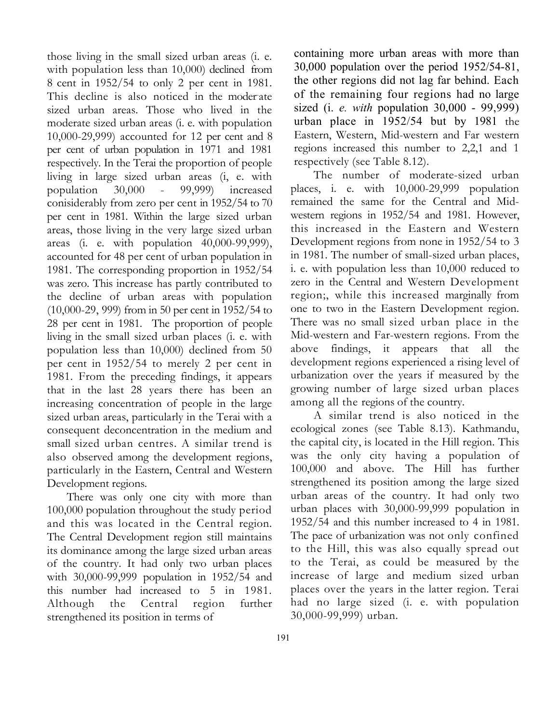those living in the small sized urban areas (i. e. with population less than 10,000) declined from 8 cent in 1952/54 to only 2 per cent in 1981. This decline is also noticed in the moderate sized urban areas. Those who lived in the moderate sized urban areas (i. e. with population 10,000-29,999) accounted for 12 per cent and 8 per cent of urban population in 1971 and 1981 respectively. In the Terai the proportion of people living in large sized urban areas (i, e. with population 30,000 - 99,999) increased conisiderably from zero per cent in 1952/54 to 70 per cent in 1981. Within the large sized urban areas, those living in the very large sized urban areas (i. e. with population 40,000-99,999), accounted for 48 per cent of urban population in 1981. The corresponding proportion in 1952/54 was zero. This increase has partly contributed to the decline of urban areas with population (10,000-29, 999) from in 50 per cent in 1952/54 to 28 per cent in 1981. The proportion of people living in the small sized urban places (i. e. with population less than 10,000) declined from 50 per cent in 1952/54 to merely 2 per cent in 1981. From the preceding findings, it appears that in the last 28 years there has been an increasing concentration of people in the large sized urban areas, particularly in the Terai with a consequent deconcentration in the medium and small sized urban centres. A similar trend is also observed among the development regions, particularly in the Eastern, Central and Western Development regions.

There was only one city with more than 100,000 population throughout the study period and this was located in the Central region. The Central Development region still maintains its dominance among the large sized urban areas of the country. It had only two urban places with 30,000-99,999 population in 1952/54 and this number had increased to 5 in 1981. Although the Central region further strengthened its position in terms of

containing more urban areas with more than 30,000 population over the period 1952/54-81, the other regions did not lag far behind. Each of the remaining four regions had no large sized (i. *e. with* population  $30,000 - 99,999$ ) urban place in 1952/54 but by 1981 the Eastern, Western, Mid-western and Far western regions increased this number to 2,2,1 and 1 respectively (see Table 8.12).

The number of moderate-sized urban places, i. e. with 10,000-29,999 population remained the same for the Central and Midwestern regions in 1952/54 and 1981. However, this increased in the Eastern and Western Development regions from none in 1952/54 to 3 in 1981. The number of small-sized urban places, i. e. with population less than 10,000 reduced to zero in the Central and Western Development region;, while this increased marginally from one to two in the Eastern Development region. There was no small sized urban place in the Mid-western and Far-western regions. From the above findings, it appears that all the development regions experienced a rising level of urbanization over the years if measured by the growing number of large sized urban places among all the regions of the country.

A similar trend is also noticed in the ecological zones (see Table 8.13). Kathmandu, the capital city, is located in the Hill region. This was the only city having a population of 100,000 and above. The Hill has further strengthened its position among the large sized urban areas of the country. It had only two urban places with 30,000-99,999 population in 1952/54 and this number increased to 4 in 1981. The pace of urbanization was not only confined to the Hill, this was also equally spread out to the Terai, as could be measured by the increase of large and medium sized urban places over the years in the latter region. Terai had no large sized (i. e. with population 30,000-99,999) urban.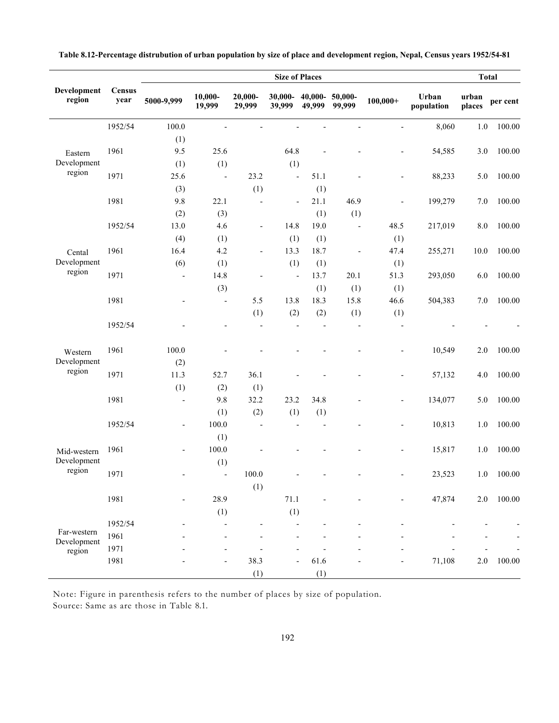|                            |                       | <b>Size of Places</b>    |                          |                          |                              |                      |                          |                          |                     | <b>Total</b>    |          |
|----------------------------|-----------------------|--------------------------|--------------------------|--------------------------|------------------------------|----------------------|--------------------------|--------------------------|---------------------|-----------------|----------|
| Development<br>region      | <b>Census</b><br>year | 5000-9,999               | 10,000-<br>19,999        | 20,000-<br>29,999        | 30,000-<br>39,999            | $40,000 -$<br>49,999 | 50,000-<br>99,999        | $100,000+$               | Urban<br>population | urban<br>places | per cent |
|                            | 1952/54               | 100.0                    |                          |                          |                              |                      | Ĭ.                       |                          | 8,060               | 1.0             | 100.00   |
|                            |                       | (1)                      |                          |                          |                              |                      |                          |                          |                     |                 |          |
| Eastern                    | 1961                  | 9.5                      | 25.6                     |                          | 64.8                         | L,                   |                          | $\overline{\phantom{a}}$ | 54,585              | 3.0             | 100.00   |
| Development                |                       | (1)                      | (1)                      |                          | (1)                          |                      |                          |                          |                     |                 |          |
| region                     | 1971                  | 25.6                     | $\blacksquare$           | 23.2                     | $\overline{\phantom{a}}$     | 51.1                 | ÷,                       | $\overline{\phantom{a}}$ | 88,233              | 5.0             | 100.00   |
|                            |                       | (3)                      |                          | (1)                      |                              | (1)                  |                          |                          |                     |                 |          |
|                            | 1981                  | 9.8                      | 22.1                     | $\overline{a}$           | $\qquad \qquad \blacksquare$ | 21.1                 | 46.9                     | $\overline{\phantom{a}}$ | 199,279             | 7.0             | 100.00   |
|                            |                       | (2)                      | (3)                      |                          |                              | (1)                  | (1)                      |                          |                     |                 |          |
|                            | 1952/54               | 13.0                     | 4.6                      | $\overline{\phantom{0}}$ | 14.8                         | 19.0                 | $\overline{\phantom{a}}$ | 48.5                     | 217,019             | 8.0             | 100.00   |
|                            |                       | (4)                      | (1)                      |                          | (1)                          | (1)                  |                          | (1)                      |                     |                 |          |
| Cental                     | 1961                  | 16.4                     | 4.2                      | $\overline{a}$           | 13.3                         | 18.7                 | $\overline{\phantom{a}}$ | 47.4                     | 255,271             | 10.0            | 100.00   |
| Development                |                       | (6)                      | (1)                      |                          | (1)                          | (1)                  |                          | (1)                      |                     |                 |          |
| region                     | 1971                  | $\overline{\phantom{a}}$ | 14.8                     | $\overline{a}$           | $\overline{\phantom{a}}$     | 13.7                 | 20.1                     | 51.3                     | 293,050             | 6.0             | 100.00   |
|                            |                       |                          | (3)                      |                          |                              | (1)                  | (1)                      | (1)                      |                     |                 |          |
|                            | 1981                  | $\overline{a}$           | $\overline{\phantom{a}}$ | 5.5                      | 13.8                         | 18.3                 | 15.8                     | 46.6                     | 504,383             | 7.0             | 100.00   |
|                            |                       |                          |                          | (1)                      | (2)                          | (2)                  | (1)                      | (1)                      |                     |                 |          |
|                            | 1952/54               |                          | $\overline{\phantom{a}}$ | $\overline{a}$           | $\overline{a}$               | $\overline{a}$       | $\overline{\phantom{a}}$ | $\overline{\phantom{a}}$ |                     |                 |          |
| Western                    | 1961                  | 100.0                    |                          |                          |                              |                      |                          | $\overline{\phantom{a}}$ | 10,549              | 2.0             | 100.00   |
| Development                |                       | (2)                      |                          |                          |                              |                      |                          |                          |                     |                 |          |
| region                     | 1971                  | 11.3                     | 52.7                     | 36.1                     |                              |                      |                          | $\overline{\phantom{a}}$ | 57,132              | 4.0             | 100.00   |
|                            |                       | (1)                      | (2)                      | (1)                      |                              |                      |                          |                          |                     |                 |          |
|                            | 1981                  | ÷,                       | 9.8                      | 32.2                     | 23.2                         | 34.8                 |                          | $\overline{\phantom{a}}$ | 134,077             | 5.0             | 100.00   |
|                            |                       |                          | (1)                      | (2)                      | (1)                          | (1)                  |                          |                          |                     |                 |          |
|                            | 1952/54               | $\overline{\phantom{a}}$ | 100.0                    | $\overline{a}$           | $\overline{\phantom{0}}$     | $\overline{a}$       |                          | $\overline{\phantom{a}}$ | 10,813              | 1.0             | 100.00   |
|                            |                       |                          | (1)                      |                          |                              |                      |                          |                          |                     |                 |          |
| Mid-western                | 1961                  | $\overline{\phantom{0}}$ | 100.0                    |                          |                              |                      |                          | $\overline{\phantom{a}}$ | 15,817              | 1.0             | 100.00   |
| Development                |                       |                          | (1)                      |                          |                              |                      |                          |                          |                     |                 |          |
| region                     | 1971                  | $\overline{\phantom{a}}$ | $\overline{\phantom{a}}$ | 100.0                    |                              |                      |                          |                          | 23,523              | 1.0             | 100.00   |
|                            |                       |                          |                          | (1)                      |                              |                      |                          |                          |                     |                 |          |
|                            | 1981                  | $\overline{\phantom{0}}$ | 28.9                     |                          | 71.1                         |                      |                          | $\overline{\phantom{a}}$ | 47,874              | $2.0\,$         | 100.00   |
|                            |                       |                          | (1)                      |                          | (1)                          |                      |                          |                          |                     |                 |          |
|                            | 1952/54               |                          | $\overline{a}$           |                          |                              |                      |                          |                          |                     |                 |          |
| Far-western<br>Development | 1961                  |                          | $\overline{\phantom{a}}$ |                          |                              |                      |                          |                          |                     |                 |          |
| region                     | 1971                  |                          | $\overline{\phantom{0}}$ |                          |                              |                      |                          |                          |                     |                 |          |
|                            | 1981                  |                          | $\overline{\phantom{a}}$ | 38.3                     | $\overline{\phantom{0}}$     | 61.6                 |                          |                          | 71,108              | $2.0\,$         | 100.00   |
|                            |                       |                          |                          | (1)                      |                              | (1)                  |                          |                          |                     |                 |          |

Table 8.12-Percentage distrubution of urban population by size of place and development region, Nepal, Census years 1952/54-81

Note: Figure in parenthesis refers to the number of places by size of population. Source: Same as are those in Table 8.1.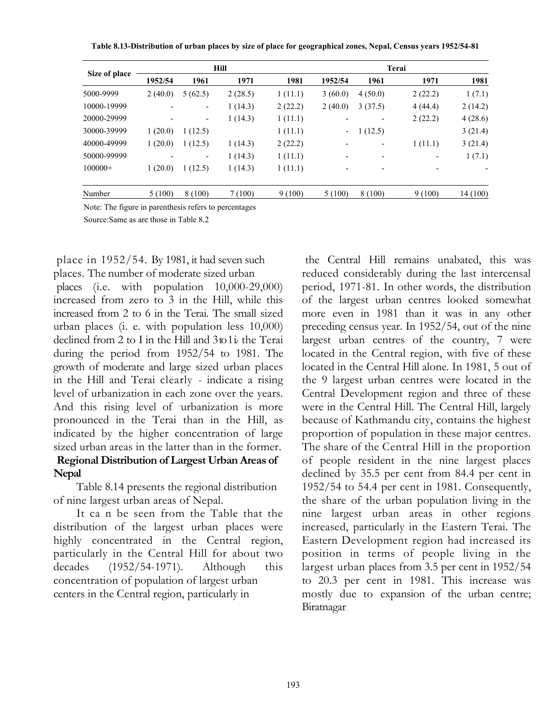Table 8.13-Distribution of urban places by size of place for geographical zones, Nepal, Census years 1952/54-81

|               | Hill    |         |         |         | Terai                    |         |         |          |  |
|---------------|---------|---------|---------|---------|--------------------------|---------|---------|----------|--|
| Size of place | 1952/54 | 1961    | 1971    | 1981    | 1952/54                  | 1961    | 1971    | 1981     |  |
| 5000-9999     | 2(40.0) | 5(62.5) | 2(28.5) | 1(11.1) | 3(60.0)                  | 4(50.0) | 2(22.2) | 1(7.1)   |  |
| 10000-19999   |         | -       | 1(14.3) | 2(22.2) | 2(40.0)                  | 3(37.5) | 4(44.4) | 2(14.2)  |  |
| 20000-29999   |         | -       | 1(14.3) | 1(11.1) |                          |         | 2(22.2) | 4(28.6)  |  |
| 30000-39999   | 1(20.0) | 1(12.5) |         | 1(11.1) | $\overline{\phantom{a}}$ | 1(12.5) |         | 3(21.4)  |  |
| 40000-49999   | 1(20.0) | 1(12.5) | 1(14.3) | 2(22.2) |                          |         | 1(11.1) | 3(21.4)  |  |
| 50000-99999   |         | -       | 1(14.3) | 1(11.1) |                          |         |         | 1(7.1)   |  |
| $100000+$     | 1(20.0) | 1(12.5) | 1(14.3) | 1(11.1) |                          |         |         |          |  |
| Number        | 5(100)  | 8 (100) | 7(100)  | 9(100)  | 5(100)                   | 8(100)  | 9(100)  | 14 (100) |  |

Note: The figure in parenthesis refers to percentages

Source:Same as are those in Table 8.2

place in 1952/54. By 1981, it had seven such places. The number of moderate sized urban places (i.e. with population 10,000-29,000) increased from zero to 3 in the Hill, while this increased from 2 to 6 in the Terai. The small sized urban places (i. e. with population less 10,000) declined from 2 to I in the Hill and 3 to 1 i. the Terai during the period from 1952/54 to 1981. The growth of moderate and large sized urban places in the Hill and Terai clearly - indicate a rising level of urbanization in each zone over the years. And this rising level of urbanization is more pronounced in the Terai than in the Hill, as indicated by the higher concentration of large sized urban areas in the latter than in the former. Regional Distribution of Largest Urban Areas of

Nepal Table 8.14 presents the regional distribution of nine largest urban areas of Nepal.

It ca n be seen from the Table that the distribution of the largest urban places were highly concentrated in the Central region, particularly in the Central Hill for about two decades (1952/54-1971). Although this concentration of population of largest urban centers in the Central region, particularly in

the Central Hill remains unabated, this was reduced considerably during the last intercensal period, 1971-81. In other words, the distribution of the largest urban centres looked somewhat more even in 1981 than it was in any other preceding census year. In 1952/54, out of the nine largest urban centres of the country, 7 were located in the Central region, with five of these located in the Central Hill alone. In 1981, 5 out of the 9 largest urban centres were located in the Central Development region and three of these were in the Central Hill. The Central Hill, largely because of Kathmandu city, contains the highest proportion of population in these major centres. The share of the Central Hill in the proportion of people resident in the nine largest places declined by 35.5 per cent from 84.4 per cent in 1952/54 to 54.4 per cent in 1981. Consequently, the share of the urban population living in the nine largest urban areas in other regions increased, particularly in the Eastern Terai. The Eastern Development region had increased its position in terms of people living in the largest urban places from 3.5 per cent in 1952/54 to 20.3 per cent in 1981. This increase was mostly due to expansion of the urban centre; Biratnagar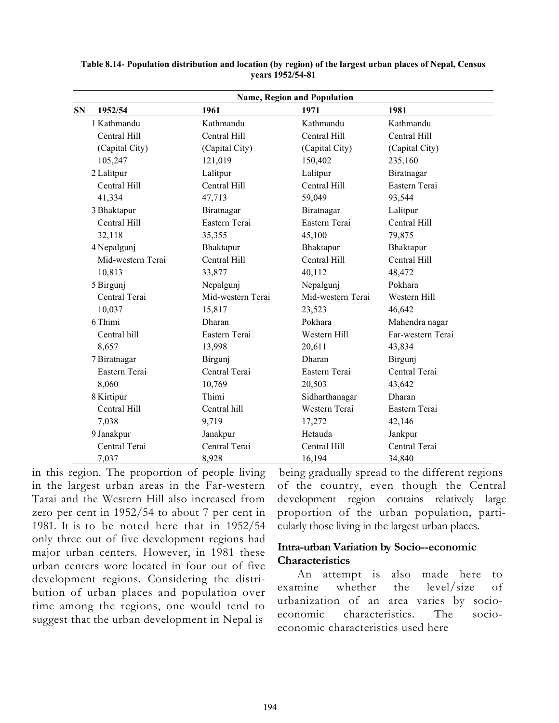| <b>Name, Region and Population</b> |                   |                   |                   |  |  |  |  |
|------------------------------------|-------------------|-------------------|-------------------|--|--|--|--|
| 1952/54<br><b>SN</b>               | 1961              | 1971              | 1981              |  |  |  |  |
| 1 Kathmandu                        | Kathmandu         | Kathmandu         | Kathmandu         |  |  |  |  |
| Central Hill                       | Central Hill      | Central Hill      | Central Hill      |  |  |  |  |
| (Capital City)                     | (Capital City)    | (Capital City)    | (Capital City)    |  |  |  |  |
| 105,247                            | 121,019           | 150,402           | 235,160           |  |  |  |  |
| 2 Lalitpur                         | Lalitpur          | Lalitpur          | Biratnagar        |  |  |  |  |
| Central Hill                       | Central Hill      | Central Hill      | Eastern Terai     |  |  |  |  |
| 41,334                             | 47,713            | 59,049            | 93,544            |  |  |  |  |
| 3 Bhaktapur                        | Biratnagar        | Biratnagar        | Lalitpur          |  |  |  |  |
| Central Hill                       | Eastern Terai     | Eastern Terai     | Central Hill      |  |  |  |  |
| 32,118                             | 35,355            | 45,100            | 79,875            |  |  |  |  |
| 4 Nepalgunj                        | Bhaktapur         | Bhaktapur         | Bhaktapur         |  |  |  |  |
| Mid-western Terai                  | Central Hill      | Central Hill      | Central Hill      |  |  |  |  |
| 10,813                             | 33,877            | 40,112            | 48,472            |  |  |  |  |
| 5 Birgunj                          | Nepalgunj         | Nepalgunj         | Pokhara           |  |  |  |  |
| Central Terai                      | Mid-western Terai | Mid-western Terai | Western Hill      |  |  |  |  |
| 10,037                             | 15,817            | 23,523            | 46,642            |  |  |  |  |
| 6 Thimi                            | Dharan            | Pokhara           | Mahendra nagar    |  |  |  |  |
| Central hill                       | Eastern Terai     | Western Hill      | Far-western Terai |  |  |  |  |
| 8,657                              | 13,998            | 20,611            | 43,834            |  |  |  |  |
| 7 Biratnagar                       | Birgunj           | Dharan            | Birgunj           |  |  |  |  |
| Eastern Terai                      | Central Terai     | Eastern Terai     | Central Terai     |  |  |  |  |
| 8,060                              | 10,769            | 20,503            | 43,642            |  |  |  |  |
| 8 Kirtipur                         | Thimi             | Sidharthanagar    | Dharan            |  |  |  |  |
| Central Hill                       | Central hill      | Western Terai     | Eastern Terai     |  |  |  |  |
| 7,038                              | 9,719             | 17,272            | 42,146            |  |  |  |  |
| 9 Janakpur                         | Janakpur          | Hetauda           | Jankpur           |  |  |  |  |
| Central Terai                      | Central Terai     | Central Hill      | Central Terai     |  |  |  |  |
| 7,037                              | 8,928             | 16,194            | 34,840            |  |  |  |  |

Table 8.14- Population distribution and location (by region) of the largest urban places of Nepal, Census years 1952/54-81

in this region. The proportion of people living in the largest urban areas in the Far-western Tarai and the Western Hill also increased from zero per cent in 1952/54 to about 7 per cent in 1981. It is to be noted here that in 1952/54 only three out of five development regions had major urban centers. However, in 1981 these urban centers wore located in four out of five development regions. Considering the distribution of urban places and population over time among the regions, one would tend to suggest that the urban development in Nepal is

being gradually spread to the different regions of the country, even though the Central development region contains relatively large proportion of the urban population, particularly those living in the largest urban places.

## Intra-urban Variation by Socio--economic Characteristics

An attempt is also made here to examine whether the level/size of urbanization of an area varies by socioeconomic characteristics. The socioeconomic characteristics used here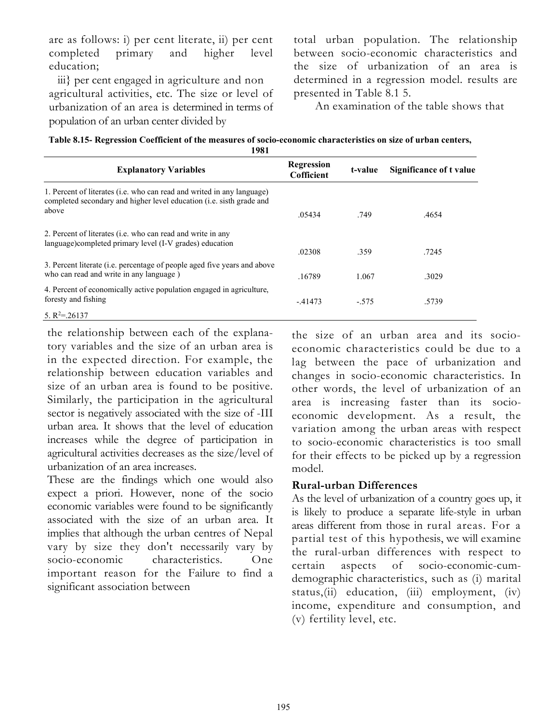are as follows: i) per cent literate, ii) per cent completed primary and higher level education;

iii} per cent engaged in agriculture and non agricultural activities, etc. The size or level of urbanization of an area is determined in terms of population of an urban center divided by

total urban population. The relationship between socio-economic characteristics and the size of urbanization of an area is determined in a regression model. results are presented in Table 8.1 5.

An examination of the table shows that

| Table 8.15- Regression Coefficient of the measures of socio-economic characteristics on size of urban centers, |
|----------------------------------------------------------------------------------------------------------------|
| 1001                                                                                                           |

| 170 L                                                                                                                                                   |                          |         |                         |  |
|---------------------------------------------------------------------------------------------------------------------------------------------------------|--------------------------|---------|-------------------------|--|
| <b>Explanatory Variables</b>                                                                                                                            | Regression<br>Cofficient | t-value | Significance of t value |  |
| 1. Percent of literates (i.e. who can read and writed in any language)<br>completed secondary and higher level education (i.e. sisth grade and<br>above | .05434                   | .749    | .4654                   |  |
| 2. Percent of literates ( <i>i.e.</i> who can read and write in any<br>language)completed primary level (I-V grades) education                          | .02308                   | .359    | .7245                   |  |
| 3. Percent literate (i.e. percentage of people aged five years and above<br>who can read and write in any language)                                     | .16789                   | 1.067   | .3029                   |  |
| 4. Percent of economically active population engaged in agriculture,<br>foresty and fishing                                                             | $-41473$                 | $-575$  | .5739                   |  |
| 5. $R^2 = 26137$                                                                                                                                        |                          |         |                         |  |

the relationship between each of the explanatory variables and the size of an urban area is in the expected direction. For example, the relationship between education variables and size of an urban area is found to be positive. Similarly, the participation in the agricultural sector is negatively associated with the size of -III urban area. It shows that the level of education increases while the degree of participation in agricultural activities decreases as the size/level of urbanization of an area increases.

These are the findings which one would also expect a priori. However, none of the socio economic variables were found to be significantly associated with the size of an urban area. It implies that although the urban centres of Nepal vary by size they don't necessarily vary by socio-economic characteristics. One important reason for the Failure to find a significant association between

the size of an urban area and its socioeconomic characteristics could be due to a lag between the pace of urbanization and changes in socio-economic characteristics. In other words, the level of urbanization of an area is increasing faster than its socioeconomic development. As a result, the variation among the urban areas with respect to socio-economic characteristics is too small for their effects to be picked up by a regression model.

# Rural-urban Differences

As the level of urbanization of a country goes up, it is likely to produce a separate life-style in urban areas different from those in rural areas. For a partial test of this hypothesis, we will examine the rural-urban differences with respect to certain aspects of socio-economic-cumdemographic characteristics, such as (i) marital status,(ii) education, (iii) employment, (iv) income, expenditure and consumption, and (v) fertility level, etc.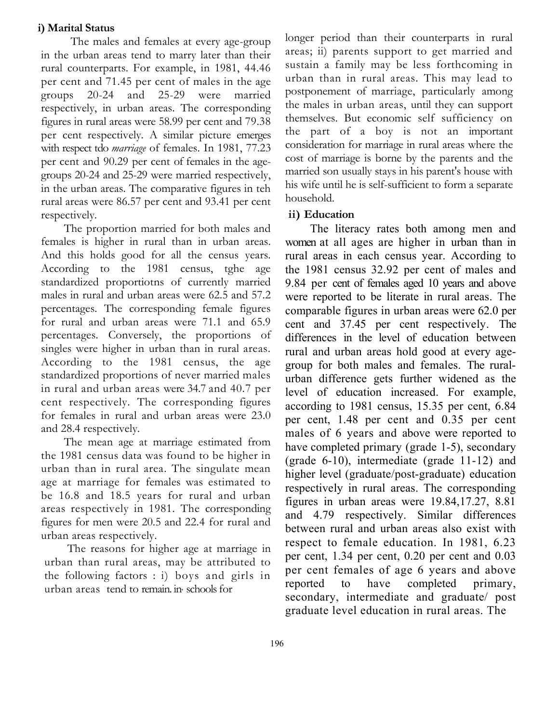#### i) Marital Status

The males and females at every age-group in the urban areas tend to marry later than their rural counterparts. For example, in 1981, 44.46 per cent and 71.45 per cent of males in the age groups 20-24 and 25-29 were married respectively, in urban areas. The corresponding figures in rural areas were 58.99 per cent and 79.38 per cent respectively. A similar picture emerges with respect tdo *marriage* of females. In 1981, 77.23 per cent and 90.29 per cent of females in the agegroups 20-24 and 25-29 were married respectively, in the urban areas. The comparative figures in teh rural areas were 86.57 per cent and 93.41 per cent respectively.

The proportion married for both males and females is higher in rural than in urban areas. And this holds good for all the census years. According to the 1981 census, tghe age standardized proportiotns of currently married males in rural and urban areas were 62.5 and 57.2 percentages. The corresponding female figures for rural and urban areas were 71.1 and 65.9 percentages. Conversely, the proportions of singles were higher in urban than in rural areas. According to the 1981 census, the age standardized proportions of never married males in rural and urban areas were 34.7 and 40.7 per cent respectively. The corresponding figures for females in rural and urban areas were 23.0 and 28.4 respectively.

The mean age at marriage estimated from the 1981 census data was found to be higher in urban than in rural area. The singulate mean age at marriage for females was estimated to be 16.8 and 18.5 years for rural and urban areas respectively in 1981. The corresponding figures for men were 20.5 and 22.4 for rural and urban areas respectively.

The reasons for higher age at marriage in urban than rural areas, may be attributed to the following factors : i) boys and girls in urban areas tend to remain. in, schools for

longer period than their counterparts in rural areas; ii) parents support to get married and sustain a family may be less forthcoming in urban than in rural areas. This may lead to postponement of marriage, particularly among the males in urban areas, until they can support themselves. But economic self sufficiency on the part of a boy is not an important consideration for marriage in rural areas where the cost of marriage is borne by the parents and the married son usually stays in his parent's house with his wife until he is self-sufficient to form a separate household.

### ii) Education

The literacy rates both among men and women at all ages are higher in urban than in rural areas in each census year. According to the 1981 census 32.92 per cent of males and 9.84 per cent of females aged 10 years and above were reported to be literate in rural areas. The comparable figures in urban areas were 62.0 per cent and 37.45 per cent respectively. The differences in the level of education between rural and urban areas hold good at every agegroup for both males and females. The ruralurban difference gets further widened as the level of education increased. For example, according to 1981 census, 15.35 per cent, 6.84 per cent, 1.48 per cent and 0.35 per cent males of 6 years and above were reported to have completed primary (grade 1-5), secondary (grade 6-10), intermediate (grade 11-12) and higher level (graduate/post-graduate) education respectively in rural areas. The corresponding figures in urban areas were 19.84,17.27, 8.81 and 4.79 respectively. Similar differences between rural and urban areas also exist with respect to female education. In 1981, 6.23 per cent, 1.34 per cent, 0.20 per cent and 0.03 per cent females of age 6 years and above reported to have completed primary, secondary, intermediate and graduate/ post graduate level education in rural areas. The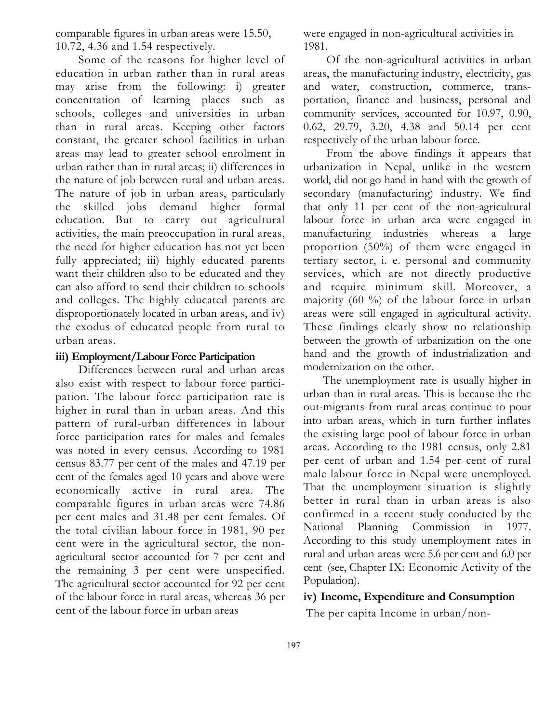comparable figures in urban areas were 15.50, 10.72, 4.36 and 1.54 respectively.

Some of the reasons for higher level of education in urban rather than in rural areas may arise from the following: i) greater concentration of learning places such as schools, colleges and universities in urban than in rural areas. Keeping other factors constant, the greater school facilities in urban areas may lead to greater school enrolment in urban rather than in rural areas; ii) differences in the nature of job between rural and urban areas. The nature of job in urban areas, particularly the skilled jobs demand higher formal education. But to carry out agricultural activities, the main preoccupation in rural areas, the need for higher education has not yet been fully appreciated; iii) highly educated parents want their children also to be educated and they can also afford to send their children to schools and colleges. The highly educated parents are disproportionately located in urban areas, and iv) the exodus of educated people from rural to urban areas.

#### iii) Employment/Labour Force Participation

Differences between rural and urban areas also exist with respect to labour force participation. The labour force participation rate is higher in rural than in urban areas. And this pattern of rural-urban differences in labour force participation rates for males and females was noted in every census. According to 1981 census 83.77 per cent of the males and 47.19 per cent of the females aged 10 years and above were economically active in rural area. The comparable figures in urban areas were 74.86 per cent males and 31.48 per cent females. Of the total civilian labour force in 1981, 90 per cent were in the agricultural sector, the nonagricultural sector accounted for 7 per cent and the remaining 3 per cent were unspecified. The agricultural sector accounted for 92 per cent of the labour force in rural areas, whereas 36 per cent of the labour force in urban areas

were engaged in non-agricultural activities in 1981.

Of the non-agricultural activities in urban areas, the manufacturing industry, electricity, gas and water, construction, commerce, transportation, finance and business, personal and community services, accounted for 10.97, 0.90, 0.62, 29.79, 3.20, 4.38 and 50.14 per cent respectively of the urban labour force.

From the above findings it appears that urbanization in Nepal, unlike in the western world, did not go hand in hand with the growth of secondary (manufacturing) industry. We find that only 11 per cent of the non-agricultural labour force in urban area were engaged in manufacturing industries whereas a large proportion (50%) of them were engaged in tertiary sector, i. e. personal and community services, which are not directly productive and require minimum skill. Moreover, a majority  $(60 \%)$  of the labour force in urban areas were still engaged in agricultural activity. These findings clearly show no relationship between the growth of urbanization on the one hand and the growth of industrialization and modernization on the other.

The unemployment rate is usually higher in urban than in rural areas. This is because the the out-migrants from rural areas continue to pour into urban areas, which in turn further inflates the existing large pool of labour force in urban areas. According to the 1981 census, only 2.81 per cent of urban and 1.54 per cent of rural male labour force in Nepal were unemployed. That the unemployment situation is slightly better in rural than in urban areas is also confirmed in a recent study conducted by the National Planning Commission in 1977. According to this study unemployment rates in rural and urban areas were 5.6 per cent and 6.0 per cent (see, Chapter IX: Economic Activity of the Population).

#### iv) Income, Expenditure and Consumption

The per capita Income in urban/non-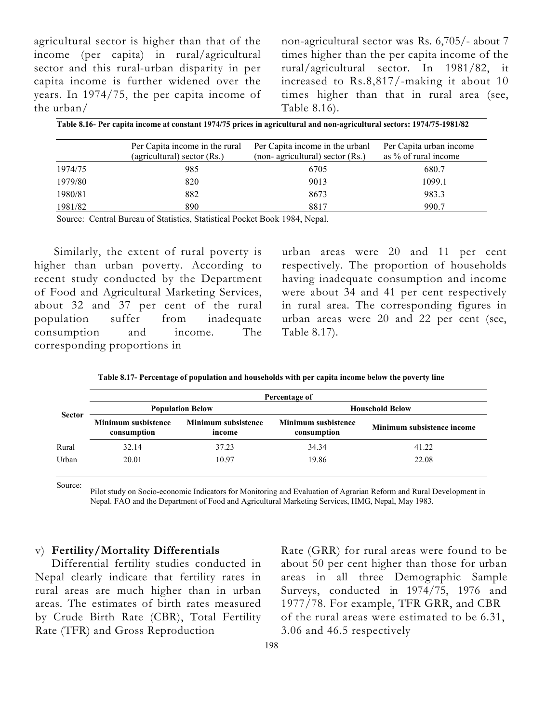agricultural sector is higher than that of the income (per capita) in rural/agricultural sector and this rural-urban disparity in per capita income is further widened over the years. In 1974/75, the per capita income of the urban/

non-agricultural sector was Rs. 6,705/- about 7 times higher than the per capita income of the rural/agricultural sector. In 1981/82, it increased to Rs.8,817/-making it about 10 times higher than that in rural area (see, Table 8.16).

| Table 8.16- Per capita income at constant 1974/75 prices in agricultural and non-agricultural sectors: 1974/75-1981/82 |                                                               |                                                                     |                                                 |  |  |  |  |  |
|------------------------------------------------------------------------------------------------------------------------|---------------------------------------------------------------|---------------------------------------------------------------------|-------------------------------------------------|--|--|--|--|--|
|                                                                                                                        | Per Capita income in the rural<br>(agricultural) sector (Rs.) | Per Capita income in the urbanl<br>(non- agricultural) sector (Rs.) | Per Capita urban income<br>as % of rural income |  |  |  |  |  |
| 1974/75                                                                                                                | 985                                                           | 6705                                                                | 680.7                                           |  |  |  |  |  |
| 1979/80                                                                                                                | 820                                                           | 9013                                                                | 1099.1                                          |  |  |  |  |  |
| 1980/81                                                                                                                | 882                                                           | 8673                                                                | 983.3                                           |  |  |  |  |  |
| 1981/82                                                                                                                | 890                                                           | 8817                                                                | 990.7                                           |  |  |  |  |  |

Source: Central Bureau of Statistics, Statistical Pocket Book 1984, Nepal.

Similarly, the extent of rural poverty is higher than urban poverty. According to recent study conducted by the Department of Food and Agricultural Marketing Services, about 32 and 37 per cent of the rural population suffer from inadequate consumption and income. The corresponding proportions in

urban areas were 20 and 11 per cent respectively. The proportion of households having inadequate consumption and income were about 34 and 41 per cent respectively in rural area. The corresponding figures in urban areas were 20 and 22 per cent (see, Table 8.17).

| <b>Sector</b> | Percentage of                             |                                      |                                           |                            |  |  |  |  |  |
|---------------|-------------------------------------------|--------------------------------------|-------------------------------------------|----------------------------|--|--|--|--|--|
|               |                                           | <b>Population Below</b>              | <b>Household Below</b>                    |                            |  |  |  |  |  |
|               | <b>Minimum susbistence</b><br>consumption | <b>Minimum subsistence</b><br>income | <b>Minimum susbistence</b><br>consumption | Minimum subsistence income |  |  |  |  |  |
| Rural         | 32.14                                     | 37.23                                | 34.34                                     | 41.22                      |  |  |  |  |  |
| Urban         | 20.01                                     | 10.97                                | 19.86                                     | 22.08                      |  |  |  |  |  |

Source:

Pilot study on Socio-economic Indicators for Monitoring and Evaluation of Agrarian Reform and Rural Development in Nepal. FAO and the Department of Food and Agricultural Marketing Services, HMG, Nepal, May 1983.

#### v) Fertility/Mortality Differentials

 Differential fertility studies conducted in Nepal clearly indicate that fertility rates in rural areas are much higher than in urban areas. The estimates of birth rates measured by Crude Birth Rate (CBR), Total Fertility Rate (TFR) and Gross Reproduction

Rate (GRR) for rural areas were found to be about 50 per cent higher than those for urban areas in all three Demographic Sample Surveys, conducted in 1974/75, 1976 and 1977/78. For example, TFR GRR, and CBR of the rural areas were estimated to be 6.31, 3.06 and 46.5 respectively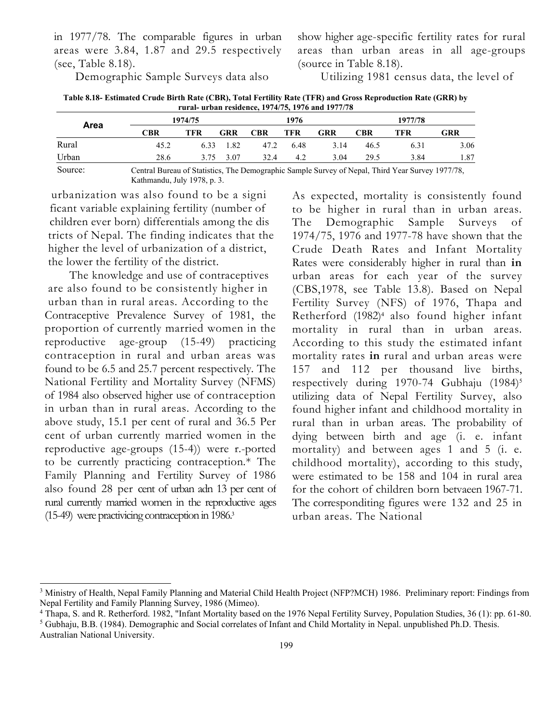in 1977/78. The comparable figures in urban areas were 3.84, 1.87 and 29.5 respectively (see, Table 8.18).

Demographic Sample Surveys data also

show higher age-specific fertility rates for rural areas than urban areas in all age-groups (source in Table 8.18).

Utilizing 1981 census data, the level of

| Table 8.18- Estimated Crude Birth Rate (CBR), Total Fertility Rate (TFR) and Gross Reproduction Rate (GRR) by |
|---------------------------------------------------------------------------------------------------------------|
| rural- urban residence, 1974/75, 1976 and 1977/78                                                             |

| Area    |                                                                                                  | 1974/75 |      |            | 1976       |      |      | 1977/78 |      |  |
|---------|--------------------------------------------------------------------------------------------------|---------|------|------------|------------|------|------|---------|------|--|
|         | CBR                                                                                              | TFR     | GRR  | <b>CBR</b> | <b>TFR</b> | GRR  | CBR  | TFR     | GRR  |  |
| Rural   | 45.2                                                                                             | 6.33    | 1.82 | 47.2       | 6.48       | 3.14 | 46.5 | 6.31    | 3.06 |  |
| Urban   | 28.6                                                                                             | 3.75    | 3.07 | 32.4       | 4.2        | 3.04 | 29.5 | 3.84    | 1.87 |  |
| Source: | Central Bureau of Statistics, The Demographic Sample Survey of Nepal, Third Year Survey 1977/78, |         |      |            |            |      |      |         |      |  |

Kathmandu, July 1978, p. 3.

urbanization was also found to be a signi ficant variable explaining fertility (number of children ever born) differentials among the dis tricts of Nepal. The finding indicates that the higher the level of urbanization of a district, the lower the fertility of the district.

The knowledge and use of contraceptives are also found to be consistently higher in urban than in rural areas. According to the Contraceptive Prevalence Survey of 1981, the proportion of currently married women in the reproductive age-group (15-49) practicing contraception in rural and urban areas was found to be 6.5 and 25.7 percent respectively. The National Fertility and Mortality Survey (NFMS) of 1984 also observed higher use of contraception in urban than in rural areas. According to the above study, 15.1 per cent of rural and 36.5 Per cent of urban currently married women in the reproductive age-groups (15-4)) were r.-ported to be currently practicing contraception.\* The Family Planning and Fertility Survey of 1986 also found 28 per cent of urban adn 13 per cent of rural currently married women in the reproductive ages (15-49) were practivicing contraception in 1986.<sup>3</sup>

As expected, mortality is consistently found to be higher in rural than in urban areas. The Demographic Sample Surveys of 1974/75, 1976 and 1977-78 have shown that the Crude Death Rates and Infant Mortality Rates were considerably higher in rural than in urban areas for each year of the survey (CBS,1978, see Table 13.8). Based on Nepal Fertility Survey (NFS) of 1976, Thapa and Retherford (1982)<sup>4</sup> also found higher infant mortality in rural than in urban areas. According to this study the estimated infant mortality rates in rural and urban areas were 157 and 112 per thousand live births, respectively during 1970-74 Gubhaju (1984)<sup>5</sup> utilizing data of Nepal Fertility Survey, also found higher infant and childhood mortality in rural than in urban areas. The probability of dying between birth and age (i. e. infant mortality) and between ages 1 and 5 (i. e. childhood mortality), according to this study, were estimated to be 158 and 104 in rural area for the cohort of children born betvaeen 1967-71. The corresponditing figures were 132 and 25 in urban areas. The National

<sup>&</sup>lt;sup>3</sup> Ministry of Health, Nepal Family Planning and Material Child Health Project (NFP?MCH) 1986. Preliminary report: Findings from Nepal Fertility and Family Planning Survey, 1986 (Mimeo).

<sup>&</sup>lt;sup>4</sup> Thapa, S. and R. Retherford. 1982, "Infant Mortality based on the 1976 Nepal Fertility Survey, Population Studies, 36 (1): pp. 61-80.  $<sup>5</sup>$  Gubhaju, B.B. (1984). Demographic and Social correlates of Infant and Child Mortality in Nepal. unpublished Ph.D. Thesis.</sup>